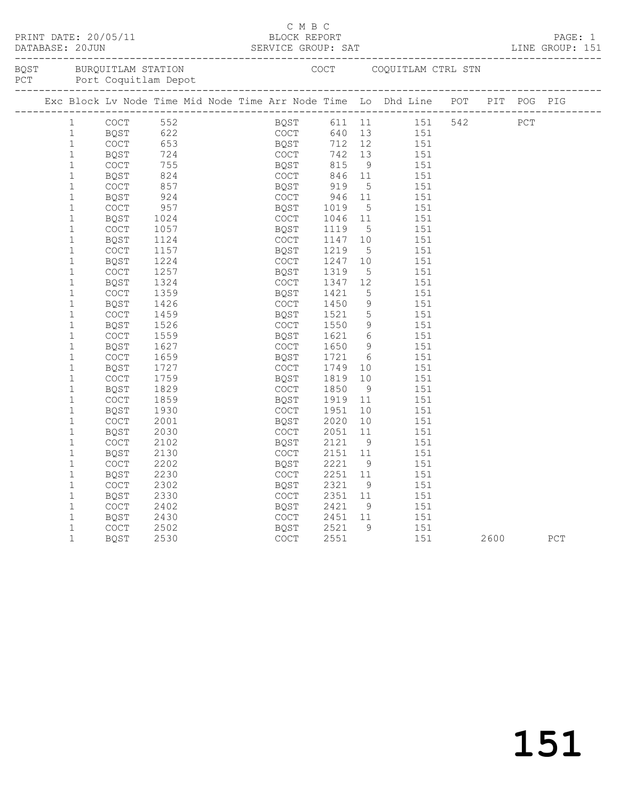| PRINT DATE: 20/05/11<br>DATABASE: 20JUN |             |      |  | C M B C     |      |                 | BLOCK REPORT<br>SERVICE GROUP: SAT                                             |         |      |     | PAGE: 1<br>LINE GROUP: 151 |
|-----------------------------------------|-------------|------|--|-------------|------|-----------------|--------------------------------------------------------------------------------|---------|------|-----|----------------------------|
|                                         |             |      |  |             |      |                 |                                                                                |         |      |     |                            |
|                                         |             |      |  |             |      |                 | Exc Block Lv Node Time Mid Node Time Arr Node Time Lo Dhd Line POT PIT POG PIG |         |      |     |                            |
| $\mathbf{1}$                            | <b>COCT</b> |      |  |             |      |                 |                                                                                | 151 542 |      | PCT |                            |
| $\mathbf{1}$                            | BQST        |      |  |             |      |                 |                                                                                |         |      |     |                            |
| $\mathbf{1}$                            | COCT        |      |  |             |      |                 |                                                                                |         |      |     |                            |
| $\mathbf{1}$                            | BQST        |      |  |             |      |                 |                                                                                |         |      |     |                            |
| $\mathbf{1}$                            | COCT        |      |  |             |      |                 |                                                                                |         |      |     |                            |
| $\mathbf{1}$                            | BQST        | 824  |  | COCT        | 846  | 11              | 151                                                                            |         |      |     |                            |
| $\mathbf{1}$                            | <b>COCT</b> | 857  |  | BOST        | 919  | $5^{\circ}$     | 151                                                                            |         |      |     |                            |
| $\mathbf 1$                             | BQST        | 924  |  | COCT        | 946  | 11              | 151                                                                            |         |      |     |                            |
| $1\,$                                   | COCT        | 957  |  | BQST        | 1019 | 5               | 151                                                                            |         |      |     |                            |
| $\mathbf 1$                             | <b>BOST</b> | 1024 |  | <b>COCT</b> | 1046 | 11              | 151                                                                            |         |      |     |                            |
| $\mathbf{1}$                            | <b>COCT</b> | 1057 |  | BQST        | 1119 | 5               | 151                                                                            |         |      |     |                            |
| $\mathbf{1}$                            | BQST        | 1124 |  | <b>COCT</b> | 1147 | 10              | 151                                                                            |         |      |     |                            |
| $\mathbf{1}$                            | COCT        | 1157 |  | BQST        | 1219 | 5               | 151                                                                            |         |      |     |                            |
| $\mathbf{1}$                            | BQST        | 1224 |  | <b>COCT</b> | 1247 | 10              | 151                                                                            |         |      |     |                            |
| $\mathbf{1}$                            | COCT        | 1257 |  | BQST        | 1319 | 5               | 151                                                                            |         |      |     |                            |
| $\mathbf{1}$                            | BQST        | 1324 |  | COCT        | 1347 | 12              | 151                                                                            |         |      |     |                            |
| $\mathbf{1}$                            | COCT        | 1359 |  | BQST        | 1421 | 5               | 151                                                                            |         |      |     |                            |
| $\mathbf{1}$                            | <b>BOST</b> | 1426 |  | <b>COCT</b> | 1450 | $\overline{9}$  | 151                                                                            |         |      |     |                            |
| $\mathbf{1}$                            | COCT        | 1459 |  | BQST        | 1521 | $5\phantom{.0}$ | 151                                                                            |         |      |     |                            |
| $\mathbf 1$                             | BQST        | 1526 |  | <b>COCT</b> | 1550 | 9               | 151                                                                            |         |      |     |                            |
| $\mathbf{1}$                            | <b>COCT</b> | 1559 |  | BQST        | 1621 | 6               | 151                                                                            |         |      |     |                            |
| $\mathbf{1}$                            | BQST        | 1627 |  | <b>COCT</b> | 1650 | 9               | 151                                                                            |         |      |     |                            |
| $\mathbf{1}$                            | COCT        | 1659 |  | BQST        | 1721 | 6               | 151                                                                            |         |      |     |                            |
| $\mathbf{1}$                            | BQST        | 1727 |  | <b>COCT</b> | 1749 | 10 <sub>1</sub> | 151                                                                            |         |      |     |                            |
| $\mathbf{1}$                            | <b>COCT</b> | 1759 |  | BQST        | 1819 | 10              | 151                                                                            |         |      |     |                            |
| $\mathbf{1}$                            | BQST        | 1829 |  | <b>COCT</b> | 1850 | - 9             | 151                                                                            |         |      |     |                            |
| $1\,$                                   | COCT        | 1859 |  | BQST        | 1919 | 11              | 151                                                                            |         |      |     |                            |
| $\mathbf 1$                             | <b>BOST</b> | 1930 |  | <b>COCT</b> | 1951 | 10              | 151                                                                            |         |      |     |                            |
| $\mathbf 1$                             | <b>COCT</b> | 2001 |  | BQST        | 2020 | 10              | 151                                                                            |         |      |     |                            |
| $1\,$                                   | BQST        | 2030 |  | COCT        | 2051 | 11              | 151                                                                            |         |      |     |                            |
| $1\,$                                   | <b>COCT</b> | 2102 |  | BQST        | 2121 | 9               | 151                                                                            |         |      |     |                            |
| $\mathbf 1$                             | BQST        | 2130 |  | <b>COCT</b> | 2151 | 11              | 151                                                                            |         |      |     |                            |
| $\mathbf{1}$                            | <b>COCT</b> | 2202 |  | BQST        | 2221 | 9 <sup>°</sup>  | 151                                                                            |         |      |     |                            |
| $\mathbf{1}$                            | BQST        | 2230 |  | COCT        | 2251 | 11              | 151                                                                            |         |      |     |                            |
| $\mathbf{1}$                            | COCT        | 2302 |  | BQST        | 2321 | - 9             | 151                                                                            |         |      |     |                            |
| $\mathbf{1}$                            | BQST        | 2330 |  | COCT        | 2351 | 11              | 151                                                                            |         |      |     |                            |
| $\mathbf{1}$                            | COCT        | 2402 |  | BQST        | 2421 | 9               | 151                                                                            |         |      |     |                            |
| $\mathbf 1$                             | BQST        | 2430 |  | <b>COCT</b> | 2451 | 11              | 151                                                                            |         |      |     |                            |
| $\mathbf 1$                             | COCT        | 2502 |  | <b>BOST</b> | 2521 | 9               | 151                                                                            |         |      |     |                            |
| $\mathbf{1}$                            | BQST        | 2530 |  | COCT        | 2551 |                 | 151                                                                            |         | 2600 |     | PCT                        |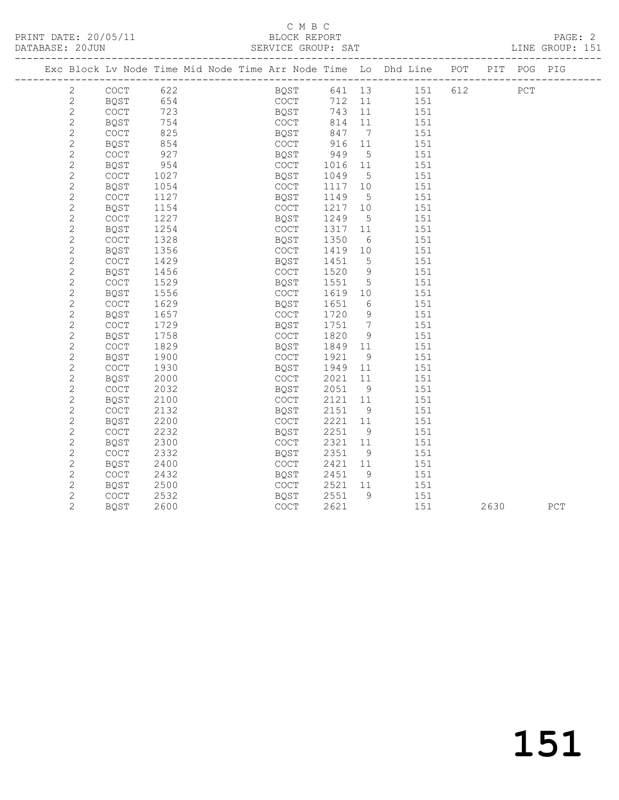# C M B C<br>BLOCK REPORT

PRINT DATE: 20/05/11 BLOCK REPORT PAGE: 2

#### SERVICE GROUP: SAT

| Exc Block Lv Node Time Mid Node Time Arr Node Time Lo Dhd Line POT |                                            |            |  |              |                      |            |                   |                 |     |      | PIT POG PIG |     |
|--------------------------------------------------------------------|--------------------------------------------|------------|--|--------------|----------------------|------------|-------------------|-----------------|-----|------|-------------|-----|
|                                                                    |                                            |            |  |              |                      |            |                   |                 |     |      |             |     |
| 2                                                                  | COCT                                       | 622        |  |              |                      |            |                   | BQST 641 13 151 | 612 |      | PCT         |     |
| 2                                                                  | BQST                                       | 654        |  |              | COCT                 | 712 11     |                   | 151             |     |      |             |     |
| $\overline{c}$                                                     | COCT                                       | 723        |  |              | BQST                 | 743        | 11                | 151             |     |      |             |     |
| $\sqrt{2}$                                                         | BQST                                       | 754        |  |              | COCT<br>uuut<br>BQST | 814        | 11                | 151             |     |      |             |     |
| $\sqrt{2}$<br>$\sqrt{2}$                                           | COCT                                       | 825<br>854 |  | COCT         |                      | 847        | $\overline{7}$    | 151             |     |      |             |     |
| $\mathbf{2}$                                                       | BQST                                       | 927        |  |              |                      | 916<br>949 | 11<br>$5^{\circ}$ | 151             |     |      |             |     |
| $\sqrt{2}$                                                         | COCT<br>BQST                               | 954        |  | BQST<br>COCT |                      | 1016 11    |                   | 151<br>151      |     |      |             |     |
| $\sqrt{2}$                                                         | COCT                                       | 1027       |  | BQST         |                      | 1049       | $5^{\circ}$       | 151             |     |      |             |     |
| $\sqrt{2}$                                                         | BQST                                       | 1054       |  | COCT         |                      | 1117 10    |                   | 151             |     |      |             |     |
| $\mathbf{2}$                                                       | COCT                                       | 1127       |  | BQST         |                      | 1149       | $5^{\circ}$       | 151             |     |      |             |     |
| $\sqrt{2}$                                                         | BQST                                       | 1154       |  | COCT         |                      | 1217 10    |                   | 151             |     |      |             |     |
| $\mathbf{2}$                                                       | $\mathtt{C}\mathtt{O}\mathtt{C}\mathtt{T}$ | 1227       |  | BQST         |                      | 1249       | $5\overline{)}$   | 151             |     |      |             |     |
| $\mathbf{2}$                                                       | BQST                                       | 1254       |  | COCT         |                      | 1317 11    |                   | 151             |     |      |             |     |
| $\sqrt{2}$                                                         | <b>COCT</b>                                | 1328       |  | BQST         |                      | 1350       | 6                 | 151             |     |      |             |     |
| $\mathbf{2}$                                                       | BQST                                       | 1356       |  | COCT         |                      | 1419 10    |                   | 151             |     |      |             |     |
| $\mathbf{2}$                                                       | COCT                                       | 1429       |  | BQST         |                      | 1451       | $5\overline{)}$   | 151             |     |      |             |     |
| $\mathbf{2}$                                                       | BQST                                       | 1456       |  | COCT         |                      | 1520       | 9                 | 151             |     |      |             |     |
| $\mathbf{2}$                                                       | COCT                                       | 1529       |  | BQST         |                      | 1551       | $5\overline{)}$   | 151             |     |      |             |     |
| $\mathbf{2}$                                                       | BQST                                       | 1556       |  | COCT         |                      | 1619       | 10                | 151             |     |      |             |     |
| $\mathbf{2}$                                                       | $\mathtt{C}\mathtt{O}\mathtt{C}\mathtt{T}$ | 1629       |  | BQST         |                      | 1651       | $6\overline{6}$   | 151             |     |      |             |     |
| $\mathbf{2}$                                                       | BQST                                       | 1657       |  | COCT         |                      | 1720       | 9                 | 151             |     |      |             |     |
| $\mathbf{2}$                                                       | COCT                                       | 1729       |  | BQST         |                      | 1751       | $\overline{7}$    | 151             |     |      |             |     |
| $\mathbf{2}$                                                       | BQST                                       | 1758       |  | COCT         |                      | 1820       | 9                 | 151             |     |      |             |     |
| $\mathbf{2}$                                                       | $\mathtt{C}\mathtt{O}\mathtt{C}\mathtt{T}$ | 1829       |  | BQST         |                      | 1849 11    |                   | 151             |     |      |             |     |
| $\mathbf{2}$                                                       | BQST                                       | 1900       |  | COCT         |                      | 1921       | 9                 | 151             |     |      |             |     |
| $\mathbf{2}$                                                       | $\mathtt{C}\mathtt{O}\mathtt{C}\mathtt{T}$ | 1930       |  | BQST         |                      | 1949       | 11                | 151             |     |      |             |     |
| $\mathbf{2}$                                                       | BQST                                       | 2000       |  | COCT         |                      | 2021       | 11                | 151             |     |      |             |     |
| $\mathbf{2}$                                                       | COCT                                       | 2032       |  | BQST         |                      | 2051       | 9                 | 151             |     |      |             |     |
| $\mathbf{2}$                                                       | BQST                                       | 2100       |  | COCT         |                      | 2121       | 11                | 151             |     |      |             |     |
| $\sqrt{2}$                                                         | COCT                                       | 2132       |  | BQST         |                      | 2151       | 9                 | 151             |     |      |             |     |
| $\mathbf{2}$                                                       | BQST                                       | 2200       |  | COCT         |                      | 2221       | 11                | 151             |     |      |             |     |
| $\mathbf{2}$                                                       | <b>COCT</b>                                | 2232       |  | BQST         |                      | 2251       | 9                 | 151             |     |      |             |     |
| $\overline{c}$                                                     | BQST                                       | 2300       |  | COCT         |                      | 2321       | 11                | 151             |     |      |             |     |
| $\mathbf{2}$                                                       | COCT                                       | 2332       |  | BQST         |                      | 2351       | 9                 | 151             |     |      |             |     |
| $\mathbf{2}$                                                       | BQST                                       | 2400       |  | COCT         |                      | 2421       | 11                | 151             |     |      |             |     |
| $\overline{c}$                                                     | COCT                                       | 2432       |  | BQST         |                      | 2451       | 9                 | 151             |     |      |             |     |
| $\overline{c}$                                                     | BQST                                       | 2500       |  | COCT         |                      | 2521       | 11                | 151             |     |      |             |     |
| $\mathbf{2}$                                                       | COCT                                       | 2532       |  | BQST         |                      | 2551       | 9                 | 151             |     |      |             |     |
| $\overline{2}$                                                     | <b>BQST</b>                                | 2600       |  | COCT         |                      | 2621       |                   | 151             |     | 2630 |             | PCT |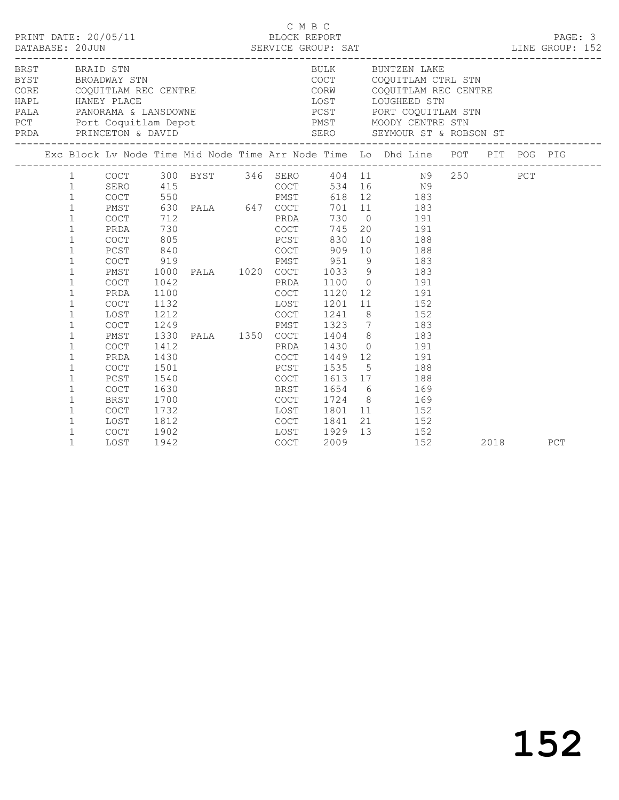|  |                                              | PRDA PRINCETON & DAVID             |                      |                                       |              |                      | $\begin{tabular}{lllllllllllllllllll} \multicolumn{2}{c}{BRST} & & & & & & & & & & & & & \multicolumn{2}{c}{\multicolumn{2}{c}{BRST} & & & & & & & & \multicolumn{2}{c}{\multicolumn{2}{c}{BRST} & & & & & & \multicolumn{2}{c}{\multicolumn{2}{c}{\multicolumn{2}{c}{\multicolumn{2}{c}{\multicolumn{2}{c}{\multicolumn{2}{c}{\multicolumn{2}{c}{\multicolumn{2}{c}{\multicolumn{2}{c}{\multicolumn{2}{c}{\multicolumn{2}{c}{\multicolumn{2}{c}{\multicolumn{2}{c}{\multicolumn$<br>PCT Port Coquitlam Depot NOODY CENTRE STN |  |      |     |
|--|----------------------------------------------|------------------------------------|----------------------|---------------------------------------|--------------|----------------------|--------------------------------------------------------------------------------------------------------------------------------------------------------------------------------------------------------------------------------------------------------------------------------------------------------------------------------------------------------------------------------------------------------------------------------------------------------------------------------------------------------------------------------|--|------|-----|
|  |                                              |                                    |                      |                                       |              |                      | Exc Block Lv Node Time Mid Node Time Arr Node Time Lo Dhd Line POT PIT POG PIG                                                                                                                                                                                                                                                                                                                                                                                                                                                 |  |      |     |
|  | $1 \quad \cdots$<br>1                        |                                    |                      |                                       |              |                      | 1 COCT 300 BYST 346 SERO 404 11 N9 250 PCT<br>SERO 415 COCT 534 16 N9<br>COCT 550 PMST 618 12 183                                                                                                                                                                                                                                                                                                                                                                                                                              |  |      |     |
|  | $\mathbf{1}$<br>$\mathbf{1}$<br>$\mathbf{1}$ | PMST<br>COCT<br>PRDA               |                      |                                       |              |                      |                                                                                                                                                                                                                                                                                                                                                                                                                                                                                                                                |  |      |     |
|  | $\mathbf{1}$<br>$\mathbf{1}$<br>$\mathbf{1}$ | COCT<br>PCST<br><b>COCT</b>        | 805<br>840           | PCST<br>Example 2009 COCT 2009<br>919 | PMST 951     | 830                  | 10 188<br>10 188<br>9 183                                                                                                                                                                                                                                                                                                                                                                                                                                                                                                      |  |      |     |
|  | $\mathbf{1}$<br>$\mathbf{1}$<br>$\mathbf{1}$ | PMST<br>COCT<br>PRDA               | 1042<br>1100         |                                       |              |                      | 1000 PALA 1020 COCT 1033 9 183                                                                                                                                                                                                                                                                                                                                                                                                                                                                                                 |  |      |     |
|  | $\mathbf{1}$<br>$\mathbf{1}$<br>$\mathbf{1}$ | <b>COCT</b><br>LOST<br><b>COCT</b> | 1132<br>1212<br>1249 |                                       |              |                      | PRDA 1100 0 191<br>COCT 1120 12 191<br>LOST 1201 11 152<br>COCT 1241 8 152<br>PMST 1323 7 183                                                                                                                                                                                                                                                                                                                                                                                                                                  |  |      |     |
|  | $\mathbf{1}$<br>$\mathbf{1}$<br>$\mathbf{1}$ | PMST<br>COCT<br>PRDA               | 1330<br>1412<br>1430 |                                       | PRDA 1430    |                      | PALA 1350 COCT 1404 8 183<br>$0$ 191                                                                                                                                                                                                                                                                                                                                                                                                                                                                                           |  |      |     |
|  | $\mathbf{1}$<br>$\mathbf{1}$<br>$\mathbf{1}$ | <b>COCT</b><br>PCST<br><b>COCT</b> | 1501<br>1540<br>1630 |                                       |              |                      | COCT 1449 12 191<br>PCST 1535 5 188<br>COCT 1613 17 188<br>BRST 1654 6 169                                                                                                                                                                                                                                                                                                                                                                                                                                                     |  |      |     |
|  | $\mathbf{1}$<br>$\mathbf{1}$                 | BRST<br>COCT                       | 1700<br>1732         | LOST 1801                             |              |                      | COCT 1724 8 169<br>11 152                                                                                                                                                                                                                                                                                                                                                                                                                                                                                                      |  |      |     |
|  | 1<br>$\mathbf{1}$<br>$\mathbf{1}$            | LOST<br>COCT<br>LOST               | 1812<br>1902<br>1942 | COCT                                  | LOST<br>LOST | 1841<br>1929<br>2009 | 21 152<br>13 152<br>152                                                                                                                                                                                                                                                                                                                                                                                                                                                                                                        |  | 2018 | PCT |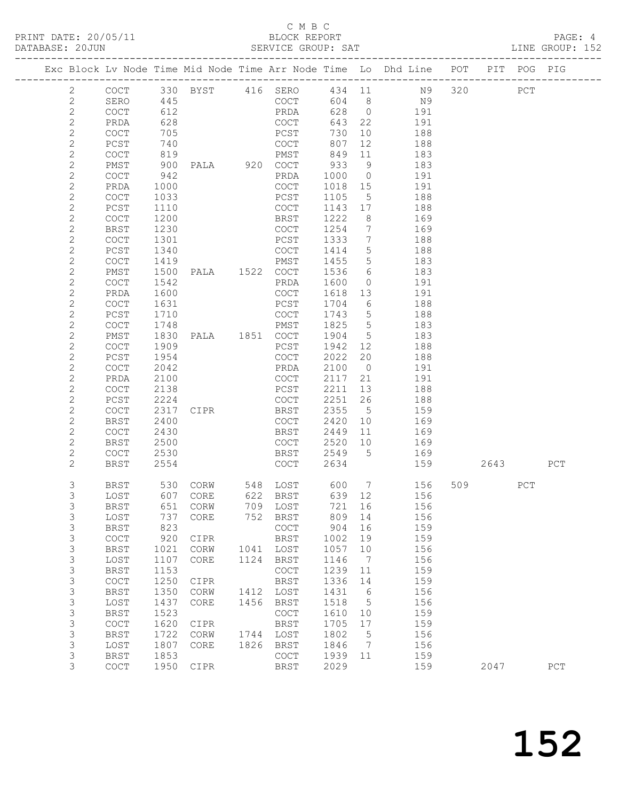#### C M B C<br>BLOCK REPORT SERVICE GROUP: SAT

| COCT 330 BYST 416 SERO 434 11 N9 320<br>$\overline{2}$<br>445<br>COCT<br>$\mathbf{2}$<br>604 8<br>SERO<br>N9                                             | PCT       |     |     |
|----------------------------------------------------------------------------------------------------------------------------------------------------------|-----------|-----|-----|
|                                                                                                                                                          |           |     |     |
|                                                                                                                                                          |           |     |     |
| 628 0 191<br>$\sqrt{2}$<br>PRDA<br>612<br>COCT                                                                                                           |           |     |     |
| $\mathbf{2}$<br>643 22<br>628<br>COCT<br>PRDA<br>191                                                                                                     |           |     |     |
| $\sqrt{2}$<br>705<br>10<br>188<br>COCT<br>PCST<br>730                                                                                                    |           |     |     |
| COCT<br>$\mathbf{2}$<br>740<br>12<br>PCST<br>807<br>188                                                                                                  |           |     |     |
| $\mathbf{2}$<br>819<br>849<br>COCT<br>PMST<br>11<br>183                                                                                                  |           |     |     |
| $\mathbf{2}$<br>PALA 920 COCT<br>933<br>PMST<br>900<br>9<br>183                                                                                          |           |     |     |
| $\sqrt{2}$<br>942<br>COCT<br>PRDA<br>1000 0<br>191                                                                                                       |           |     |     |
| $\mathbf{2}$<br>PRDA<br>1000<br>COCT<br>1018 15<br>191                                                                                                   |           |     |     |
| $\mathbf{2}$<br>COCT<br>1033<br>PCST<br>1105<br>$5^{\circ}$<br>188                                                                                       |           |     |     |
| $\mathbf{2}$<br>PCST<br>1110<br>COCT<br>1143 17<br>188                                                                                                   |           |     |     |
| $\mathbf{2}$<br>COCT<br>1200<br>BRST<br>1222<br>8 <sup>8</sup><br>169                                                                                    |           |     |     |
| $\mathbf{2}$<br>1254 7<br>BRST<br>1230<br>COCT<br>169                                                                                                    |           |     |     |
| $\mathbf{2}$<br>188<br>1333<br>$7\phantom{0}$<br>COCT<br>1301<br>PCST                                                                                    |           |     |     |
| $\mathbf{2}$<br>1414 5<br>PCST<br>1340<br>COCT<br>188                                                                                                    |           |     |     |
| $\mathbf{2}$<br>1455<br>$5\overline{)}$<br>COCT<br>1419<br>PMST<br>183                                                                                   |           |     |     |
| $\mathbf{2}$<br>1536 6<br>PMST<br>183                                                                                                                    |           |     |     |
| $\mathbf{2}$<br>COCT<br>1542<br>PRDA<br>1600<br>191<br>$\overline{0}$                                                                                    |           |     |     |
| $\mathbf{2}$<br>PRDA<br>1600<br>COCT<br>1618 13<br>191                                                                                                   |           |     |     |
| $\mathbf{2}$<br>COCT<br>1631<br>PCST<br>1704<br>6<br>188                                                                                                 |           |     |     |
| $\mathbf{2}$<br>1710<br>1743 5<br>188<br>PCST<br>COCT                                                                                                    |           |     |     |
| $\mathbf{2}$<br>1825<br>$5\overline{)}$<br>COCT<br>1748<br>PMST<br>183<br>1830 PALA 1851 COCT<br>1904 5                                                  |           |     |     |
| $\mathbf{2}$<br>PMST<br>183<br>$\mathbf{2}$<br>PCST<br>12<br>188                                                                                         |           |     |     |
| COCT<br>1909<br>1942<br>$\sqrt{2}$<br>2022<br>20<br>PCST<br>1954<br>COCT<br>188                                                                          |           |     |     |
| $\mathbf{2}$<br>COCT<br>2042<br>PRDA<br>2100 0<br>191                                                                                                    |           |     |     |
| $\mathbf{2}$<br>2100<br>COCT<br>2117<br>21<br>191<br>PRDA                                                                                                |           |     |     |
| $\mathbf{2}$<br>COCT<br>2138<br>PCST<br>2211<br>13<br>188                                                                                                |           |     |     |
| $\mathbf{2}$<br>2224<br>2251<br>26<br>PCST<br>COCT<br>188                                                                                                |           |     |     |
| $\mathbf{2}$<br>2355<br>$5\overline{)}$<br>COCT<br>2317<br>BRST<br>159<br>CIPR                                                                           |           |     |     |
| $\mathbf{2}$<br>2400<br>2420<br><b>BRST</b><br>COCT<br>10<br>169                                                                                         |           |     |     |
| $\mathbf{2}$<br>COCT<br>2430<br>BRST<br>2449<br>11<br>169                                                                                                |           |     |     |
| $\mathbf{2}$<br>2520 10<br>BRST<br>2500<br>COCT<br>169                                                                                                   |           |     |     |
| $\mathbf{2}$<br><b>BRST</b><br>2549 5<br>COCT<br>2530<br>169                                                                                             |           |     |     |
| COCT<br>$\mathbf{2}$<br>BRST<br>2554<br>2634<br>159                                                                                                      | 2643      |     | PCT |
| 3<br>156<br>BRST                                                                                                                                         | 509 — 100 | PCT |     |
| 3<br>156<br>LOST                                                                                                                                         |           |     |     |
| 3<br>BRST<br>651 CORW<br>709 LOST<br>721 16<br>156                                                                                                       |           |     |     |
| 3<br>737<br>809<br>LOST<br>CORE<br>752<br>BRST<br>14<br>156                                                                                              |           |     |     |
| 3<br>823<br>COCT<br>904<br>16<br>159<br><b>BRST</b>                                                                                                      |           |     |     |
| $\mathfrak{Z}$<br>$\mathtt{C}\mathtt{O}\mathtt{C}\mathtt{T}$<br>920<br>BRST<br>159<br>CIPR<br>1002<br>19                                                 |           |     |     |
| $\mathsf 3$<br>1021<br>LOST<br>1057<br>156<br><b>BRST</b><br>CORW<br>1041<br>10                                                                          |           |     |     |
| $\mathsf S$<br>1124<br>LOST<br>1107<br>CORE<br>BRST<br>1146<br>$\overline{7}$<br>156                                                                     |           |     |     |
| $\mathsf S$<br>1153<br>1239<br>159<br><b>BRST</b><br>COCT<br>11<br>1336                                                                                  |           |     |     |
| $\mathsf 3$<br>$\mathtt{C}\mathtt{O}\mathtt{C}\mathtt{T}$<br>1250<br><b>BRST</b><br>14<br>159<br>CIPR<br>$\mathsf 3$<br>1350<br>1412 LOST<br>1431<br>156 |           |     |     |
| <b>BRST</b><br>CORW<br>$6\overline{6}$<br>$\mathsf 3$<br>1456<br>1518<br>156<br>LOST<br>1437<br>CORE<br>BRST<br>$5^{\circ}$                              |           |     |     |
| $\mathsf S$<br>1523<br>159<br><b>BRST</b><br>COCT<br>1610<br>10                                                                                          |           |     |     |
| $\mathsf S$<br>1620<br>1705<br>159<br>COCT<br>BRST<br>17<br>CIPR                                                                                         |           |     |     |
| $\mathsf 3$<br>1722<br>1744<br>LOST<br>1802<br>$5\phantom{.0}$<br>156<br><b>BRST</b><br>CORW                                                             |           |     |     |
| $\mathsf 3$<br>1807<br>1826<br>1846<br>156<br>LOST<br>CORE<br>BRST<br>$\overline{7}$                                                                     |           |     |     |
| 3<br>1853<br><b>BRST</b><br>COCT<br>1939<br>11<br>159                                                                                                    |           |     |     |
| 3<br>1950<br>2029<br>159<br>COCT<br>CIPR<br>BRST                                                                                                         | 2047      |     | PCT |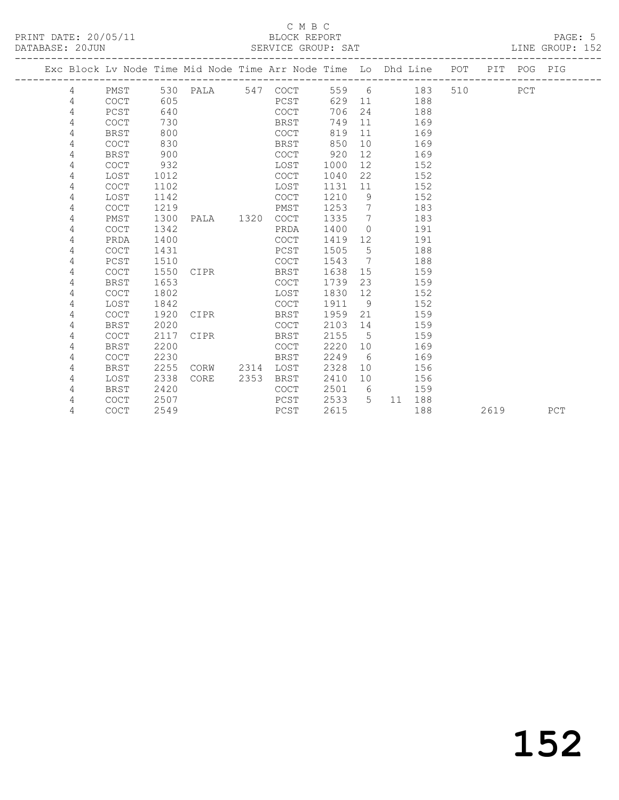### C M B C<br>BLOCK REPORT SERVICE GROUP: SAT

| 4<br>4<br>4 | PMST        |      |      |                   |      | Exc Block Lv Node Time Mid Node Time Arr Node Time Lo Dhd Line POT PIT POG PIG |      |                 |               |         |     |  |
|-------------|-------------|------|------|-------------------|------|--------------------------------------------------------------------------------|------|-----------------|---------------|---------|-----|--|
|             |             |      |      |                   |      |                                                                                |      |                 |               |         |     |  |
|             |             |      |      |                   |      | 530 PALA 547 COCT                                                              |      |                 | 559 6 183     | 510 310 | PCT |  |
|             |             | COCT | 605  |                   |      | PCST                                                                           | 629  |                 | 11 188        |         |     |  |
|             | PCST        |      | 640  |                   |      | COCT                                                                           | 706  | 24              | 188           |         |     |  |
| 4           | <b>COCT</b> |      | 730  |                   |      | BRST                                                                           | 749  |                 | 11 — 1<br>169 |         |     |  |
| 4           | BRST        |      | 800  |                   |      | COCT                                                                           | 819  | 11              | 169           |         |     |  |
| 4           | <b>COCT</b> |      | 830  |                   |      | BRST                                                                           | 850  | 10              | 169           |         |     |  |
| 4           | BRST        |      | 900  |                   |      | COCT                                                                           | 920  | 12              | 169           |         |     |  |
| 4           | <b>COCT</b> |      | 932  |                   |      | LOST                                                                           | 1000 | 12              | 152           |         |     |  |
| 4           | LOST        |      | 1012 |                   |      | <b>COCT</b>                                                                    | 1040 | 22              | 152           |         |     |  |
| 4           | <b>COCT</b> |      | 1102 |                   |      | LOST                                                                           | 1131 | 11              | 152           |         |     |  |
| 4           | LOST        |      | 1142 |                   |      | COCT                                                                           | 1210 | 9               | 152           |         |     |  |
| 4           | <b>COCT</b> |      | 1219 |                   |      | PMST                                                                           | 1253 | $\overline{7}$  | 183           |         |     |  |
| 4           | PMST        |      | 1300 | PALA 1320         |      | <b>COCT</b>                                                                    | 1335 | $\overline{7}$  | 183           |         |     |  |
| 4           | <b>COCT</b> |      | 1342 |                   |      | PRDA                                                                           | 1400 | $\bigcirc$      | 191           |         |     |  |
| 4           | PRDA        |      | 1400 |                   |      | COCT                                                                           | 1419 | 12              | 191           |         |     |  |
| 4           | <b>COCT</b> |      | 1431 |                   |      | PCST                                                                           | 1505 | 5 <sup>5</sup>  | 188           |         |     |  |
| 4           | PCST        |      | 1510 |                   |      | COCT                                                                           | 1543 | $7\overline{ }$ | 188           |         |     |  |
| 4           | <b>COCT</b> |      | 1550 | CIPR              |      | BRST                                                                           | 1638 | 15              | 159           |         |     |  |
| 4           | <b>BRST</b> |      | 1653 |                   |      | COCT                                                                           | 1739 | 23              | 159           |         |     |  |
| 4           | <b>COCT</b> |      | 1802 |                   |      | LOST                                                                           | 1830 | 12              | 152           |         |     |  |
| 4           | LOST        |      | 1842 |                   |      | COCT                                                                           | 1911 | 9               | 152           |         |     |  |
| 4           | <b>COCT</b> |      | 1920 | CIPR <sub>2</sub> |      | BRST                                                                           | 1959 | 21              | 159           |         |     |  |
| 4           | BRST        |      | 2020 |                   |      | COCT                                                                           | 2103 | 14              | 159           |         |     |  |
| 4           | <b>COCT</b> |      | 2117 | CIPR              |      | BRST                                                                           | 2155 | $5^{\circ}$     | 159           |         |     |  |
| 4           | BRST        |      | 2200 |                   |      | <b>COCT</b>                                                                    | 2220 | 10              | 169           |         |     |  |
| 4           | COCT        |      | 2230 |                   |      | BRST                                                                           | 2249 | - 6             | 169           |         |     |  |
| 4           | <b>BRST</b> |      | 2255 | CORW 2314         |      | LOST                                                                           | 2328 | 10              | 156           |         |     |  |
| 4           | LOST        |      | 2338 | CORE              | 2353 | BRST                                                                           | 2410 | 10              | 156           |         |     |  |
| 4           | <b>BRST</b> |      | 2420 |                   |      | <b>COCT</b>                                                                    | 2501 | 6               | 159           |         |     |  |

4 COCT 2507 PCST 2533 5 11 188

4 COCT 2549 PCST 2615 188 2619 PCT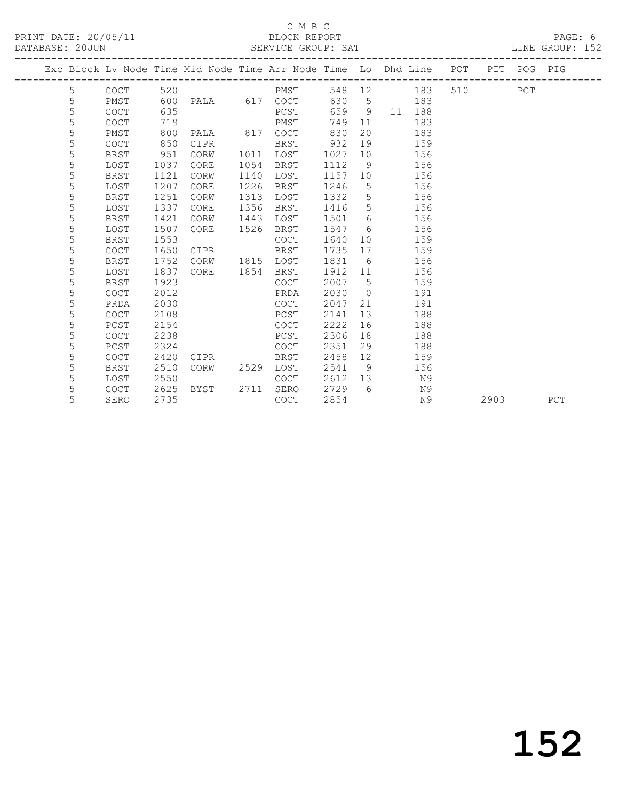# C M B C<br>BLOCK REPORT

#### SERVICE GROUP: SAT

|   |             |      |             |      | Exc Block Lv Node Time Mid Node Time Arr Node Time Lo Dhd Line POT PIT POG PIG |      |                |       |            |         |      |     |     |
|---|-------------|------|-------------|------|--------------------------------------------------------------------------------|------|----------------|-------|------------|---------|------|-----|-----|
| 5 | COCT        | 520  |             |      | PMST                                                                           |      |                |       | 548 12 183 | 510 310 |      | PCT |     |
| 5 | PMST        | 600  |             |      | PALA 617 COCT                                                                  |      |                | 630 5 | 183        |         |      |     |     |
| 5 | COCT        | 635  |             |      | PCST                                                                           | 659  | 9              |       | 11 188     |         |      |     |     |
| 5 | <b>COCT</b> | 719  |             |      | PMST                                                                           | 749  | 11             |       | 183        |         |      |     |     |
| 5 | PMST        | 800  | PALA        | 817  | COCT                                                                           | 830  | 20             |       | 183        |         |      |     |     |
| 5 | <b>COCT</b> | 850  | CIPR        |      | BRST                                                                           | 932  | 19             |       | 159        |         |      |     |     |
| 5 | <b>BRST</b> | 951  | CORW        | 1011 | LOST                                                                           | 1027 | 10             |       | 156        |         |      |     |     |
| 5 | LOST        | 1037 | CORE        | 1054 | BRST                                                                           | 1112 | 9              |       | 156        |         |      |     |     |
| 5 | <b>BRST</b> | 1121 | CORW        | 1140 | LOST                                                                           | 1157 | 10             |       | 156        |         |      |     |     |
| 5 | LOST        | 1207 | <b>CORE</b> | 1226 | BRST                                                                           | 1246 | 5              |       | 156        |         |      |     |     |
| 5 | <b>BRST</b> | 1251 | CORW        | 1313 | LOST                                                                           | 1332 | 5              |       | 156        |         |      |     |     |
| 5 | LOST        | 1337 | CORE        | 1356 | BRST                                                                           | 1416 | 5              |       | 156        |         |      |     |     |
| 5 | <b>BRST</b> | 1421 | CORW        | 1443 | LOST                                                                           | 1501 | 6              |       | 156        |         |      |     |     |
| 5 | LOST        | 1507 | CORE        | 1526 | BRST                                                                           | 1547 | - 6            |       | 156        |         |      |     |     |
| 5 | BRST        | 1553 |             |      | <b>COCT</b>                                                                    | 1640 | 10             |       | 159        |         |      |     |     |
| 5 | <b>COCT</b> | 1650 | CIPR        |      | BRST                                                                           | 1735 | 17             |       | 159        |         |      |     |     |
| 5 | <b>BRST</b> | 1752 | CORW        |      | 1815 LOST                                                                      | 1831 | 6              |       | 156        |         |      |     |     |
| 5 | LOST        | 1837 | CORE        | 1854 | BRST                                                                           | 1912 | 11             |       | 156        |         |      |     |     |
| 5 | BRST        | 1923 |             |      | <b>COCT</b>                                                                    | 2007 | $5^{\circ}$    |       | 159        |         |      |     |     |
| 5 | <b>COCT</b> | 2012 |             |      | PRDA                                                                           | 2030 | $\overline{0}$ |       | 191        |         |      |     |     |
| 5 | PRDA        | 2030 |             |      | <b>COCT</b>                                                                    | 2047 | 21             |       | 191        |         |      |     |     |
| 5 | <b>COCT</b> | 2108 |             |      | PCST                                                                           | 2141 | 13             |       | 188        |         |      |     |     |
| 5 | PCST        | 2154 |             |      | COCT                                                                           | 2222 | 16             |       | 188        |         |      |     |     |
| 5 | COCT        | 2238 |             |      | PCST                                                                           | 2306 | 18             |       | 188        |         |      |     |     |
| 5 | PCST        | 2324 |             |      | COCT                                                                           | 2351 | 29             |       | 188        |         |      |     |     |
| 5 | <b>COCT</b> | 2420 | CIPR        |      | BRST                                                                           | 2458 | 12             |       | 159        |         |      |     |     |
| 5 | <b>BRST</b> | 2510 | CORW        | 2529 | LOST                                                                           | 2541 | - 9            |       | 156        |         |      |     |     |
| 5 | LOST        | 2550 |             |      | COCT                                                                           | 2612 | 13             |       | N9         |         |      |     |     |
| 5 | <b>COCT</b> | 2625 | BYST        | 2711 | SERO                                                                           | 2729 | $6^{\circ}$    |       | N9         |         |      |     |     |
| 5 | SERO        | 2735 |             |      | COCT                                                                           | 2854 |                |       | N9         |         | 2903 |     | PCT |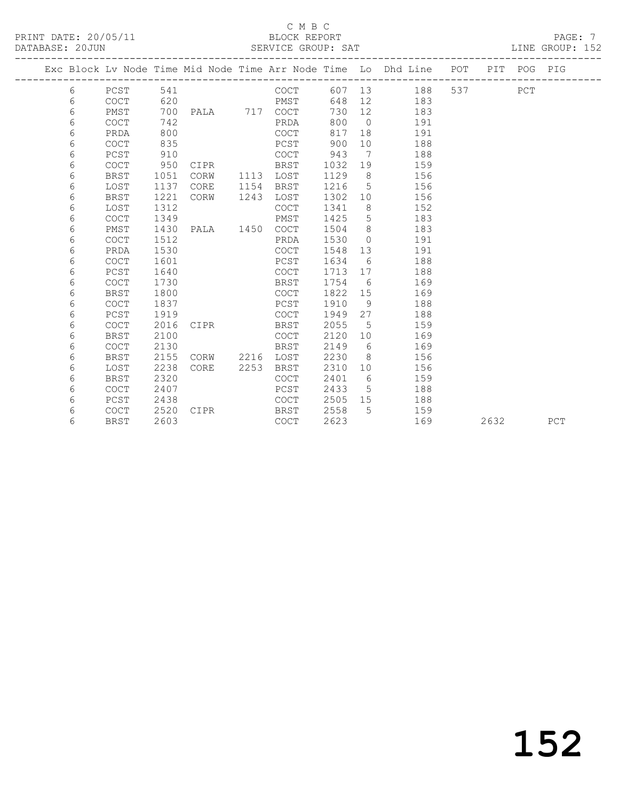### C M B C<br>BLOCK REPORT SERVICE GROUP: SAT

|  |   |             |      |               |      |             |         |                 | Exc Block Lv Node Time Mid Node Time Arr Node Time Lo Dhd Line POT PIT POG PIG |     |      |     |     |
|--|---|-------------|------|---------------|------|-------------|---------|-----------------|--------------------------------------------------------------------------------|-----|------|-----|-----|
|  | 6 | PCST        | 541  |               |      | COCT        | 607 13  |                 | 188                                                                            | 537 |      | PCT |     |
|  | 6 | <b>COCT</b> | 620  |               |      | PMST        | 648     | 12              | 183                                                                            |     |      |     |     |
|  | 6 | PMST        | 700  | PALA 717 COCT |      |             | 730     | 12              | 183                                                                            |     |      |     |     |
|  | 6 | <b>COCT</b> | 742  |               |      | PRDA        | 800     | $\overline{0}$  | 191                                                                            |     |      |     |     |
|  | 6 | PRDA        | 800  |               |      | COCT        | 817     | 18              | 191                                                                            |     |      |     |     |
|  | 6 | <b>COCT</b> | 835  |               |      | PCST        | 900     | 10 <sup>°</sup> | 188                                                                            |     |      |     |     |
|  | 6 | $PCST$      | 910  |               |      | COCT        | 943     | $\overline{7}$  | 188                                                                            |     |      |     |     |
|  | 6 | <b>COCT</b> | 950  | CIPR          |      | BRST        | 1032    | 19              | 159                                                                            |     |      |     |     |
|  | 6 | <b>BRST</b> | 1051 | CORW          | 1113 | LOST        | 1129    | 8               | 156                                                                            |     |      |     |     |
|  | 6 | LOST        | 1137 | CORE          | 1154 | BRST        | 1216    | 5               | 156                                                                            |     |      |     |     |
|  | 6 | <b>BRST</b> | 1221 | CORW          | 1243 | LOST        | 1302    | 10 <sup>°</sup> | 156                                                                            |     |      |     |     |
|  | 6 | LOST        | 1312 |               |      | COCT        | 1341    | 8               | 152                                                                            |     |      |     |     |
|  | 6 | <b>COCT</b> | 1349 |               |      | PMST        | 1425    | 5               | 183                                                                            |     |      |     |     |
|  | 6 | PMST        | 1430 | PALA 1450     |      | COCT        | 1504    | 8               | 183                                                                            |     |      |     |     |
|  | 6 | <b>COCT</b> | 1512 |               |      | PRDA        | 1530    | $\overline{0}$  | 191                                                                            |     |      |     |     |
|  | 6 | PRDA        | 1530 |               |      | <b>COCT</b> | 1548    | 13              | 191                                                                            |     |      |     |     |
|  | 6 | <b>COCT</b> | 1601 |               |      | PCST        | 1634    | 6               | 188                                                                            |     |      |     |     |
|  | 6 | PCST        | 1640 |               |      | <b>COCT</b> | 1713    | 17              | 188                                                                            |     |      |     |     |
|  | 6 | <b>COCT</b> | 1730 |               |      | BRST        | 1754    | 6               | 169                                                                            |     |      |     |     |
|  | 6 | <b>BRST</b> | 1800 |               |      | COCT        | 1822 15 |                 | 169                                                                            |     |      |     |     |
|  | 6 | <b>COCT</b> | 1837 |               |      | PCST        | 1910    | 9               | 188                                                                            |     |      |     |     |
|  | 6 | PCST        | 1919 |               |      | COCT        | 1949    | 27              | 188                                                                            |     |      |     |     |
|  | 6 | <b>COCT</b> | 2016 | CIPR          |      | BRST        | 2055    | 5               | 159                                                                            |     |      |     |     |
|  | 6 | <b>BRST</b> | 2100 |               |      | <b>COCT</b> | 2120    | 10 <sup>°</sup> | 169                                                                            |     |      |     |     |
|  | 6 | <b>COCT</b> | 2130 |               |      | <b>BRST</b> | 2149    | 6               | 169                                                                            |     |      |     |     |
|  | 6 | <b>BRST</b> | 2155 | CORW          | 2216 | LOST        | 2230    | - 8             | 156                                                                            |     |      |     |     |
|  | 6 | LOST        | 2238 | CORE          | 2253 | BRST        | 2310    | 10 <sup>°</sup> | 156                                                                            |     |      |     |     |
|  | 6 | <b>BRST</b> | 2320 |               |      | <b>COCT</b> | 2401    | 6               | 159                                                                            |     |      |     |     |
|  | 6 | <b>COCT</b> | 2407 |               |      | PCST        | 2433    | 5               | 188                                                                            |     |      |     |     |
|  | 6 | PCST        | 2438 |               |      | <b>COCT</b> | 2505    | 15              | 188                                                                            |     |      |     |     |
|  | 6 | <b>COCT</b> | 2520 | CIPR          |      | BRST        | 2558    | 5               | 159                                                                            |     |      |     |     |
|  | 6 | <b>BRST</b> | 2603 |               |      | <b>COCT</b> | 2623    |                 | 169                                                                            |     | 2632 |     | PCT |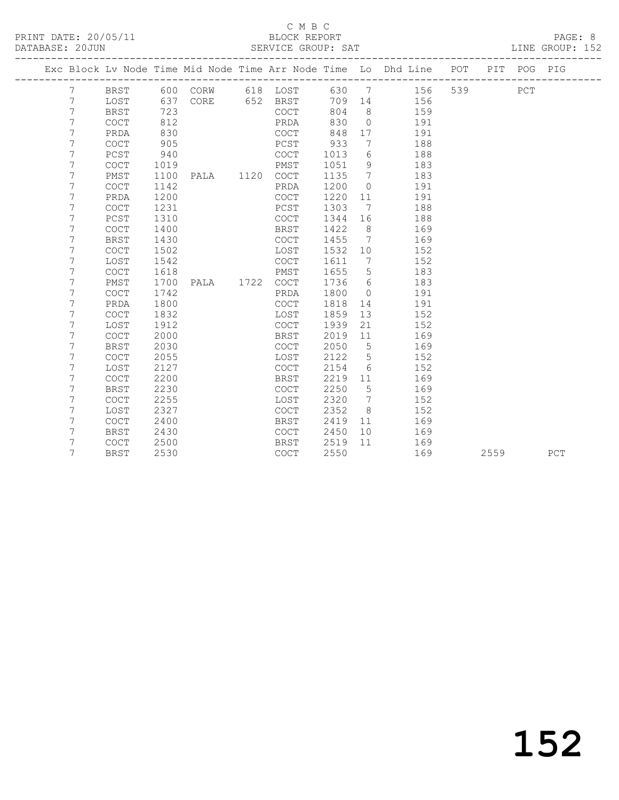### C M B C<br>BLOCK REPORT

#### SERVICE GROUP: SAT

|  |   |                                            |      |                |             |        |                              | Exc Block Lv Node Time Mid Node Time Arr Node Time Lo Dhd Line POT |     |      | PIT POG PIG |     |
|--|---|--------------------------------------------|------|----------------|-------------|--------|------------------------------|--------------------------------------------------------------------|-----|------|-------------|-----|
|  | 7 | BRST                                       |      | 600 CORW       | 618 LOST    | 630    | $\overline{7}$               | 156                                                                | 539 |      | PCT         |     |
|  | 7 | LOST                                       | 637  | CORE 652 BRST  |             | 709 14 |                              | 156                                                                |     |      |             |     |
|  | 7 | <b>BRST</b>                                | 723  |                | COCT        | 804    | 8 <sup>8</sup>               | 159                                                                |     |      |             |     |
|  | 7 | <b>COCT</b>                                | 812  |                | PRDA        | 830    | $\circ$                      | 191                                                                |     |      |             |     |
|  | 7 | PRDA                                       | 830  |                | COCT        | 848    | 17                           | 191                                                                |     |      |             |     |
|  | 7 | COCT                                       | 905  |                | PCST        | 933    | 7                            | 188                                                                |     |      |             |     |
|  | 7 | $PCST$                                     | 940  |                | COCT        | 1013   | 6                            | 188                                                                |     |      |             |     |
|  | 7 | COCT                                       | 1019 |                | PMST        | 1051   | 9                            | 183                                                                |     |      |             |     |
|  | 7 | PMST                                       | 1100 | PALA 1120 COCT |             | 1135   | $7\phantom{.0}\phantom{.0}7$ | 183                                                                |     |      |             |     |
|  | 7 | $\mathtt{C}\mathtt{O}\mathtt{C}\mathtt{T}$ | 1142 |                | PRDA        | 1200   | $\overline{0}$               | 191                                                                |     |      |             |     |
|  | 7 | PRDA                                       | 1200 |                | COCT        | 1220   | 11                           | 191                                                                |     |      |             |     |
|  | 7 | COCT                                       | 1231 |                | PCST        | 1303   | $7\phantom{.0}\phantom{.0}7$ | 188                                                                |     |      |             |     |
|  | 7 | PCST                                       | 1310 |                | COCT        | 1344   | 16                           | 188                                                                |     |      |             |     |
|  | 7 | <b>COCT</b>                                | 1400 |                | BRST        | 1422   | 8 <sup>8</sup>               | 169                                                                |     |      |             |     |
|  | 7 | <b>BRST</b>                                | 1430 |                | COCT        | 1455   | $\overline{7}$               | 169                                                                |     |      |             |     |
|  | 7 | COCT                                       | 1502 |                | LOST        | 1532   | 10 <sup>°</sup>              | 152                                                                |     |      |             |     |
|  | 7 | LOST                                       | 1542 |                | COCT        | 1611   | $\overline{7}$               | 152                                                                |     |      |             |     |
|  | 7 | $\mathtt{C}\mathtt{O}\mathtt{C}\mathtt{T}$ | 1618 |                | PMST        | 1655   | $5^{\circ}$                  | 183                                                                |     |      |             |     |
|  | 7 | PMST                                       | 1700 | PALA 1722      | COCT        | 1736   | 6                            | 183                                                                |     |      |             |     |
|  | 7 | <b>COCT</b>                                | 1742 |                | PRDA        | 1800   | $\overline{0}$               | 191                                                                |     |      |             |     |
|  | 7 | PRDA                                       | 1800 |                | COCT        | 1818   | 14                           | 191                                                                |     |      |             |     |
|  | 7 | <b>COCT</b>                                | 1832 |                | LOST        | 1859   | 13                           | 152                                                                |     |      |             |     |
|  | 7 | LOST                                       | 1912 |                | COCT        | 1939   | 21                           | 152                                                                |     |      |             |     |
|  | 7 | <b>COCT</b>                                | 2000 |                | BRST        | 2019   | 11                           | 169                                                                |     |      |             |     |
|  | 7 | <b>BRST</b>                                | 2030 |                | <b>COCT</b> | 2050   | 5                            | 169                                                                |     |      |             |     |
|  | 7 | COCT                                       | 2055 |                | LOST        | 2122   | 5                            | 152                                                                |     |      |             |     |
|  | 7 | LOST                                       | 2127 |                | COCT        | 2154   | 6                            | 152                                                                |     |      |             |     |
|  | 7 | $\mathtt{C}\mathtt{O}\mathtt{C}\mathtt{T}$ | 2200 |                | BRST        | 2219   | 11                           | 169                                                                |     |      |             |     |
|  | 7 | <b>BRST</b>                                | 2230 |                | COCT        | 2250   | 5                            | 169                                                                |     |      |             |     |
|  | 7 | <b>COCT</b>                                | 2255 |                | LOST        | 2320   | $\overline{7}$               | 152                                                                |     |      |             |     |
|  | 7 | LOST                                       | 2327 |                | <b>COCT</b> | 2352   | 8                            | 152                                                                |     |      |             |     |
|  | 7 | COCT                                       | 2400 |                | BRST        | 2419   | 11                           | 169                                                                |     |      |             |     |
|  | 7 | <b>BRST</b>                                | 2430 |                | COCT        | 2450   | 10                           | 169                                                                |     |      |             |     |
|  | 7 | <b>COCT</b>                                | 2500 |                | BRST        | 2519   | 11                           | 169                                                                |     |      |             |     |
|  | 7 | <b>BRST</b>                                | 2530 |                | COCT        | 2550   |                              | 169                                                                |     | 2559 |             | PCT |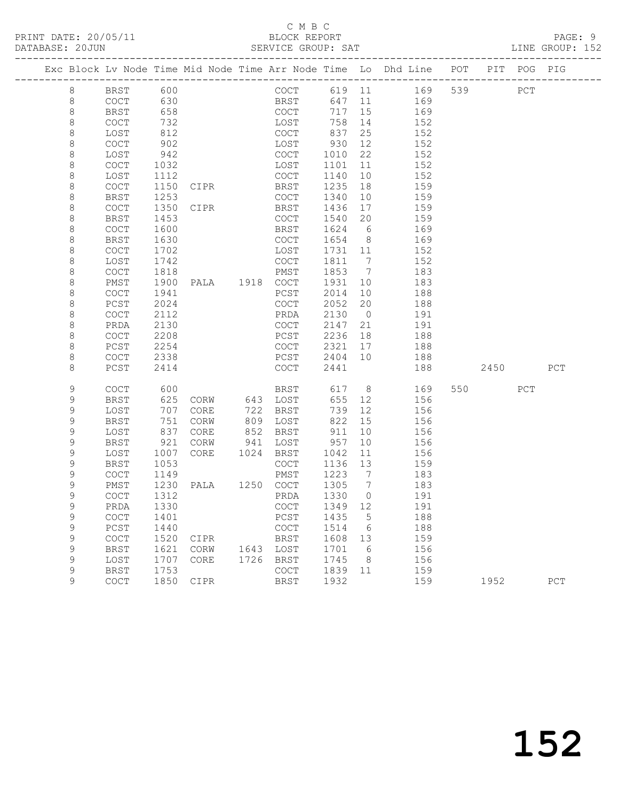### C M B C<br>BLOCK REPORT SERVICE GROUP: SAT

|             |                     |              |                |      |              |              |                       | Exc Block Lv Node Time Mid Node Time Arr Node Time Lo Dhd Line POT |     |          | PIT POG PIG |     |
|-------------|---------------------|--------------|----------------|------|--------------|--------------|-----------------------|--------------------------------------------------------------------|-----|----------|-------------|-----|
| 8           | BRST 600            |              |                |      |              |              |                       | COCT 619 11 169                                                    | 539 | PCT      |             |     |
| 8           | COCT                | 630          |                |      | <b>BRST</b>  | 647 11       |                       | 169                                                                |     |          |             |     |
| $\,8\,$     | BRST                | 658          |                |      | COCT         | 717 15       |                       | 169                                                                |     |          |             |     |
| 8           | COCT                | 732          |                |      | LOST         | 758          | 14                    | 152                                                                |     |          |             |     |
| $\,8\,$     | LOST                | 812          |                |      | COCT         | 837          | 25                    | 152                                                                |     |          |             |     |
| 8           | COCT                | 902          |                |      | LOST         | 930          | 12                    | 152                                                                |     |          |             |     |
| 8           | LOST                | 942          |                |      | COCT         | 1010         | 22                    | 152                                                                |     |          |             |     |
| 8           | COCT                | 1032         |                |      | LOST         | 1101         | 11                    | 152                                                                |     |          |             |     |
| $\,8\,$     | LOST                | 1112         |                |      | COCT         | 1140         | 10                    | 152                                                                |     |          |             |     |
| 8           | COCT                | 1150         | CIPR           |      | BRST         | 1235         | 18                    | 159                                                                |     |          |             |     |
| 8           | BRST                | 1253         |                |      | COCT         | 1340         | 10                    | 159                                                                |     |          |             |     |
| 8           | COCT                | 1350         | CIPR           |      | BRST         | 1436         | 17                    | 159                                                                |     |          |             |     |
| $\,8\,$     | <b>BRST</b>         | 1453         |                |      | COCT         | 1540 20      |                       | 159                                                                |     |          |             |     |
| $\,8\,$     | COCT                | 1600         |                |      | BRST         | 1624 6       |                       | 169                                                                |     |          |             |     |
| 8           | <b>BRST</b>         | 1630         |                |      | COCT         | 1654 8       |                       | 169                                                                |     |          |             |     |
| 8           | COCT                | 1702         |                |      | LOST         | 1731 11      |                       | 152                                                                |     |          |             |     |
| $\,8\,$     | LOST                | 1742         |                |      | COCT         | 1811 7       |                       | 152                                                                |     |          |             |     |
| $\,8\,$     | COCT                | 1818         | PALA 1918 COCT |      | PMST         | 1853         | $\overline{7}$<br>10  | 183<br>183                                                         |     |          |             |     |
| 8<br>8      | PMST<br>COCT        | 1900<br>1941 |                |      | PCST         | 1931<br>2014 | 10                    | 188                                                                |     |          |             |     |
| $\,8\,$     | PCST                | 2024         |                |      | COCT         | 2052         | 20                    | 188                                                                |     |          |             |     |
| $\,8\,$     | COCT                | 2112         |                |      | PRDA         | 2130         | $\overline{0}$        | 191                                                                |     |          |             |     |
| 8           | PRDA                | 2130         |                |      | COCT         | 2147         | 21                    | 191                                                                |     |          |             |     |
| 8           | COCT                | 2208         |                |      | PCST         | 2236         | 18                    | 188                                                                |     |          |             |     |
| 8           | PCST                | 2254         |                |      | COCT         | 2321         | 17                    | 188                                                                |     |          |             |     |
| 8           | COCT                | 2338         |                |      | PCST         | 2404 10      |                       | 188                                                                |     |          |             |     |
| 8           | PCST                | 2414         |                |      | COCT         | 2441         |                       | 188                                                                |     | 2450 PCT |             |     |
|             |                     |              |                |      |              |              |                       |                                                                    |     |          |             |     |
| 9           | <b>COCT</b>         | 600          |                |      | BRST         | 617 8        |                       | 169                                                                |     | 550 35   | PCT         |     |
| 9           | BRST                | 625          | CORW 643 LOST  |      |              | 655 12       |                       | 156                                                                |     |          |             |     |
| 9           | LOST                | 707          | CORE           |      | 722 BRST     | 739          | 12                    | 156                                                                |     |          |             |     |
| 9           | <b>BRST</b>         | 751          | CORW           |      | 809 LOST     | 822          | 15                    | 156                                                                |     |          |             |     |
| 9           | LOST                | 837          | CORE           |      | 852 BRST     | 911          | 10                    | 156                                                                |     |          |             |     |
| 9           | <b>BRST</b>         | 921          | CORW           |      | 941 LOST     | 957          | 10                    | 156                                                                |     |          |             |     |
| $\mathsf 9$ | LOST                | 1007         | CORE           |      | 1024 BRST    | 1042         | 11                    | 156                                                                |     |          |             |     |
| 9           | BRST                | 1053         |                |      | COCT         | 1136 13      |                       | 159                                                                |     |          |             |     |
| 9           | COCT                | 1149         |                |      | PMST         | 1223 7       |                       | 183                                                                |     |          |             |     |
| 9           | PMST                | 1230         | PALA 1250 COCT |      |              | 1305 7       |                       | 183                                                                |     |          |             |     |
| $\mathsf 9$ | COCT                | 1312         |                |      | PRDA         | 1330         | $\overline{0}$        | 191                                                                |     |          |             |     |
| 9           | PRDA                | 1330         |                |      | COCT 1349 12 |              |                       | 191                                                                |     |          |             |     |
| 9           | COCT                | 1401         |                |      | PCST         | 1435         | $5^{\circ}$           | 188                                                                |     |          |             |     |
| 9           | PCST                | 1440         |                |      | COCT         | 1514         | 6                     | 188                                                                |     |          |             |     |
| 9<br>9      | COCT                | 1520         | CIPR           | 1643 | BRST         | 1608         | 13<br>$6\overline{6}$ | 159                                                                |     |          |             |     |
| 9           | <b>BRST</b><br>LOST | 1621<br>1707 | CORW<br>CORE   | 1726 | LOST<br>BRST | 1701<br>1745 | 8 <sup>8</sup>        | 156<br>156                                                         |     |          |             |     |
| 9           | <b>BRST</b>         | 1753         |                |      | COCT         | 1839         | 11                    | 159                                                                |     |          |             |     |
| 9           | COCT                | 1850         | CIPR           |      | BRST         | 1932         |                       | 159                                                                |     | 1952     |             | PCT |
|             |                     |              |                |      |              |              |                       |                                                                    |     |          |             |     |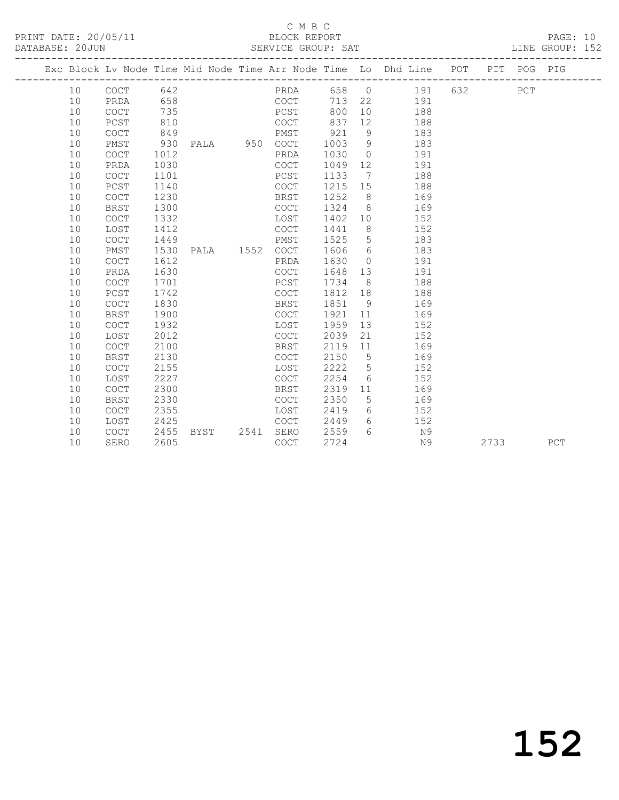### C M B C<br>BLOCK REPORT

PAGE: 10<br>LINE GROUP: 152

|  |    |                                            |      |           |      |                                            |       |                 | Exc Block Lv Node Time Mid Node Time Arr Node Time Lo Dhd Line POT |     |      | PIT POG PIG |     |
|--|----|--------------------------------------------|------|-----------|------|--------------------------------------------|-------|-----------------|--------------------------------------------------------------------|-----|------|-------------|-----|
|  | 10 | COCT                                       | 642  |           |      | PRDA                                       | 658 0 |                 | 191                                                                | 632 |      | PCT         |     |
|  | 10 | PRDA                                       | 658  |           |      | COCT                                       | 713   | 22              | 191                                                                |     |      |             |     |
|  | 10 | COCT                                       | 735  |           |      | PCST                                       | 800   | 10 <sup>°</sup> | 188                                                                |     |      |             |     |
|  | 10 | PCST                                       | 810  |           |      | <b>COCT</b>                                | 837   | 12              | 188                                                                |     |      |             |     |
|  | 10 | COCT                                       | 849  |           |      | PMST                                       | 921   | 9               | 183                                                                |     |      |             |     |
|  | 10 | PMST                                       | 930  | PALA 950  |      | COCT                                       | 1003  | 9               | 183                                                                |     |      |             |     |
|  | 10 | <b>COCT</b>                                | 1012 |           |      | PRDA                                       | 1030  | $\overline{0}$  | 191                                                                |     |      |             |     |
|  | 10 | PRDA                                       | 1030 |           |      | $\mathtt{C}\mathtt{O}\mathtt{C}\mathtt{T}$ | 1049  | 12 <sup>°</sup> | 191                                                                |     |      |             |     |
|  | 10 | <b>COCT</b>                                | 1101 |           |      | PCST                                       | 1133  | $\overline{7}$  | 188                                                                |     |      |             |     |
|  | 10 | $PCST$                                     | 1140 |           |      | COCT                                       | 1215  | 15              | 188                                                                |     |      |             |     |
|  | 10 | <b>COCT</b>                                | 1230 |           |      | BRST                                       | 1252  | 8 <sup>8</sup>  | 169                                                                |     |      |             |     |
|  | 10 | <b>BRST</b>                                | 1300 |           |      | COCT                                       | 1324  | 8 <sup>8</sup>  | 169                                                                |     |      |             |     |
|  | 10 | <b>COCT</b>                                | 1332 |           |      | LOST                                       | 1402  | 10              | 152                                                                |     |      |             |     |
|  | 10 | LOST                                       | 1412 |           |      | COCT                                       | 1441  | 8 <sup>8</sup>  | 152                                                                |     |      |             |     |
|  | 10 | <b>COCT</b>                                | 1449 |           |      | PMST                                       | 1525  | 5               | 183                                                                |     |      |             |     |
|  | 10 | PMST                                       | 1530 | PALA 1552 |      | COCT                                       | 1606  | $6\overline{6}$ | 183                                                                |     |      |             |     |
|  | 10 | COCT                                       | 1612 |           |      | PRDA                                       | 1630  | $\overline{0}$  | 191                                                                |     |      |             |     |
|  | 10 | PRDA                                       | 1630 |           |      | COCT                                       | 1648  | 13              | 191                                                                |     |      |             |     |
|  | 10 | <b>COCT</b>                                | 1701 |           |      | PCST                                       | 1734  | 8 <sup>8</sup>  | 188                                                                |     |      |             |     |
|  | 10 | PCST                                       | 1742 |           |      | COCT                                       | 1812  | 18              | 188                                                                |     |      |             |     |
|  | 10 | $\mathtt{C}\mathtt{O}\mathtt{C}\mathtt{T}$ | 1830 |           |      | BRST                                       | 1851  | 9               | 169                                                                |     |      |             |     |
|  | 10 | <b>BRST</b>                                | 1900 |           |      | COCT                                       | 1921  | 11              | 169                                                                |     |      |             |     |
|  | 10 | <b>COCT</b>                                | 1932 |           |      | LOST                                       | 1959  | 13              | 152                                                                |     |      |             |     |
|  | 10 | LOST                                       | 2012 |           |      | COCT                                       | 2039  | 21              | 152                                                                |     |      |             |     |
|  | 10 | COCT                                       | 2100 |           |      | BRST                                       | 2119  | 11              | 169                                                                |     |      |             |     |
|  | 10 | BRST                                       | 2130 |           |      | COCT                                       | 2150  | 5               | 169                                                                |     |      |             |     |
|  | 10 | COCT                                       | 2155 |           |      | LOST                                       | 2222  | 5               | 152                                                                |     |      |             |     |
|  | 10 | LOST                                       | 2227 |           |      | COCT                                       | 2254  | 6               | 152                                                                |     |      |             |     |
|  | 10 | COCT                                       | 2300 |           |      | <b>BRST</b>                                | 2319  | 11              | 169                                                                |     |      |             |     |
|  | 10 | <b>BRST</b>                                | 2330 |           |      | <b>COCT</b>                                | 2350  | 5               | 169                                                                |     |      |             |     |
|  | 10 | COCT                                       | 2355 |           |      | LOST                                       | 2419  | 6               | 152                                                                |     |      |             |     |
|  | 10 | LOST                                       | 2425 |           |      | COCT                                       | 2449  | 6               | 152                                                                |     |      |             |     |
|  | 10 | COCT                                       | 2455 | BYST      | 2541 | SERO                                       | 2559  | 6               | N9                                                                 |     |      |             |     |
|  | 10 | SERO                                       | 2605 |           |      | COCT                                       | 2724  |                 | N9                                                                 |     | 2733 |             | PCT |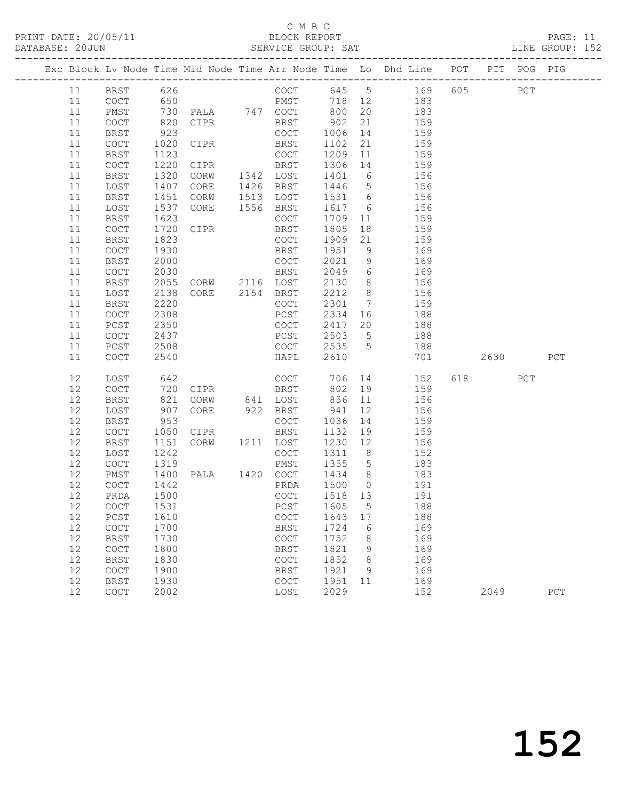# C M B C<br>BLOCK REPORT

PAGE: 11<br>LINE GROUP: 152

|  |          |                                            |     |              | Exc Block Lv Node Time Mid Node Time Arr Node Time Lo Dhd Line POT PIT POG PIG |                                            |              |                      |            |     |      |     |     |
|--|----------|--------------------------------------------|-----|--------------|--------------------------------------------------------------------------------|--------------------------------------------|--------------|----------------------|------------|-----|------|-----|-----|
|  | 11       | BRST                                       |     | 626          |                                                                                | COCT                                       | 645 5        |                      | 169        | 605 |      | PCT |     |
|  | 11       | $\mathtt{C}\mathtt{O}\mathtt{C}\mathtt{T}$ |     | 650          |                                                                                | PMST                                       | 718          | 12                   | 183        |     |      |     |     |
|  | 11       | PMST                                       |     | 730          | PALA 747 COCT                                                                  |                                            | 800          | 20                   | 183        |     |      |     |     |
|  | 11       | COCT                                       | 820 |              | CIPR                                                                           | BRST                                       | 902          | 21                   | 159        |     |      |     |     |
|  | 11       | BRST                                       |     | 923          |                                                                                | COCT                                       | 1006         | 14                   | 159        |     |      |     |     |
|  | 11       | COCT                                       |     | 1020         | CIPR                                                                           | BRST                                       | 1102         | 21                   | 159        |     |      |     |     |
|  | 11       | BRST                                       |     | 1123         |                                                                                | COCT                                       | 1209         | 11                   | 159        |     |      |     |     |
|  | 11       | $\operatorname{COT}$                       |     | 1220         | CIPR                                                                           | BRST                                       | 1306         | 14                   | 159        |     |      |     |     |
|  | 11       | BRST                                       |     | 1320         | CORW                                                                           | 1342 LOST                                  | 1401         | 6                    | 156        |     |      |     |     |
|  | 11       | LOST                                       |     | 1407         | CORE                                                                           | 1426 BRST                                  | 1446         | $5\overline{)}$      | 156        |     |      |     |     |
|  | 11       | BRST                                       |     | 1451         | CORW                                                                           | 1513 LOST                                  | 1531         | $6\overline{6}$      | 156        |     |      |     |     |
|  | 11       | LOST                                       |     | 1537         | CORE                                                                           | 1556 BRST                                  | 1617         | 6                    | 156        |     |      |     |     |
|  | 11       | BRST                                       |     | 1623         |                                                                                | COCT                                       | 1709         | 11                   | 159        |     |      |     |     |
|  | 11       | COCT                                       |     | 1720         | CIPR                                                                           | BRST                                       | 1805         | 18                   | 159        |     |      |     |     |
|  | 11       | <b>BRST</b>                                |     | 1823         |                                                                                | COCT                                       | 1909         | 21                   | 159        |     |      |     |     |
|  | 11       | COCT                                       |     | 1930         |                                                                                | BRST                                       | 1951         | 9                    | 169        |     |      |     |     |
|  | 11       | BRST                                       |     | 2000         |                                                                                | COCT                                       | 2021         | 9                    | 169        |     |      |     |     |
|  | 11       | COCT                                       |     | 2030         |                                                                                | BRST                                       | 2049         | 6                    | 169        |     |      |     |     |
|  | 11       | BRST                                       |     | 2055         | CORW 2116 LOST<br>CORE 2154 BRST                                               |                                            | 2130         | 8 <sup>8</sup>       | 156        |     |      |     |     |
|  | 11       | LOST                                       |     | 2138         |                                                                                |                                            | 2212         | 8 <sup>8</sup>       | 156        |     |      |     |     |
|  | 11       | BRST                                       |     | 2220<br>2308 |                                                                                | COCT                                       | 2301<br>2334 | 7                    | 159<br>188 |     |      |     |     |
|  | 11<br>11 | COCT<br>PCST                               |     | 2350         |                                                                                | PCST<br>COCT                               | 2417         | 16<br>20             | 188        |     |      |     |     |
|  | 11       | $\operatorname{COT}$                       |     | 2437         |                                                                                | PCST                                       | 2503         | $5\overline{)}$      | 188        |     |      |     |     |
|  | 11       | PCST                                       |     | 2508         |                                                                                | COCT                                       | 2535         | 5                    | 188        |     |      |     |     |
|  | 11       | COCT                                       |     | 2540         |                                                                                | HAPL                                       | 2610         |                      | 701        |     | 2630 |     | PCT |
|  |          |                                            |     |              |                                                                                |                                            |              |                      |            |     |      |     |     |
|  | 12       | LOST                                       |     | 642          |                                                                                | COCT                                       | 706          | 14                   | 152        | 618 |      | PCT |     |
|  | 12       | COCT                                       |     | 720          | CIPR                                                                           | BRST                                       | 802          | 19                   | 159        |     |      |     |     |
|  | 12       | <b>BRST</b>                                |     | 821          | CORW                                                                           | 841 LOST                                   | 856          | 11                   | 156        |     |      |     |     |
|  | 12       | LOST                                       |     | 907          | CORE                                                                           | 922 BRST                                   | 941          | 12                   | 156        |     |      |     |     |
|  | 12       | <b>BRST</b>                                |     | 953          |                                                                                | COCT                                       | 1036         | 14                   | 159        |     |      |     |     |
|  | 12       | $\operatorname{COT}$                       |     | 1050         | CIPR                                                                           | BRST                                       | 1132         | 19                   | 159        |     |      |     |     |
|  | 12<br>12 | <b>BRST</b>                                |     | 1151         | CORW                                                                           | 1211 LOST                                  | 1230<br>1311 | 12<br>8 <sup>8</sup> | 156        |     |      |     |     |
|  | 12       | LOST<br>COCT                               |     | 1242<br>1319 |                                                                                | COCT<br>PMST                               | 1355         | $5\overline{)}$      | 152<br>183 |     |      |     |     |
|  | 12       | PMST                                       |     | 1400         | PALA 1420 COCT                                                                 |                                            | 1434 8       |                      | 183        |     |      |     |     |
|  | 12       | COCT                                       |     | 1442         |                                                                                | PRDA                                       | 1500         | $\overline{0}$       | 191        |     |      |     |     |
|  | 12       | PRDA                                       |     | 1500         |                                                                                | COCT                                       | 1518 13      |                      | 191        |     |      |     |     |
|  |          |                                            |     |              |                                                                                |                                            | PCST 1605 5  |                      | 188        |     |      |     |     |
|  | 12       | PCST                                       |     | 1610         |                                                                                | COCT                                       | 1643         | 17                   | 188        |     |      |     |     |
|  | 12       | $\mathtt{C}\mathtt{O}\mathtt{C}\mathtt{T}$ |     | 1700         |                                                                                | <b>BRST</b>                                | 1724         | 6                    | 169        |     |      |     |     |
|  | 12       | <b>BRST</b>                                |     | 1730         |                                                                                | COCT                                       | 1752         | 8                    | 169        |     |      |     |     |
|  | 12       | $\mathtt{C}\mathtt{O}\mathtt{C}\mathtt{T}$ |     | 1800         |                                                                                | <b>BRST</b>                                | 1821         | 9                    | 169        |     |      |     |     |
|  | 12       | <b>BRST</b>                                |     | 1830         |                                                                                | COCT                                       | 1852         | 8                    | 169        |     |      |     |     |
|  | 12       | $\mathtt{C}\mathtt{O}\mathtt{C}\mathtt{T}$ |     | 1900         |                                                                                | <b>BRST</b>                                | 1921         | 9                    | 169        |     |      |     |     |
|  | 12       | <b>BRST</b>                                |     | 1930         |                                                                                | $\mathtt{C}\mathtt{O}\mathtt{C}\mathtt{T}$ | 1951         | 11                   | 169        |     |      |     |     |
|  | 12       | COCT                                       |     | 2002         |                                                                                | LOST                                       | 2029         |                      | 152        |     | 2049 |     | PCT |
|  |          |                                            |     |              |                                                                                |                                            |              |                      |            |     |      |     |     |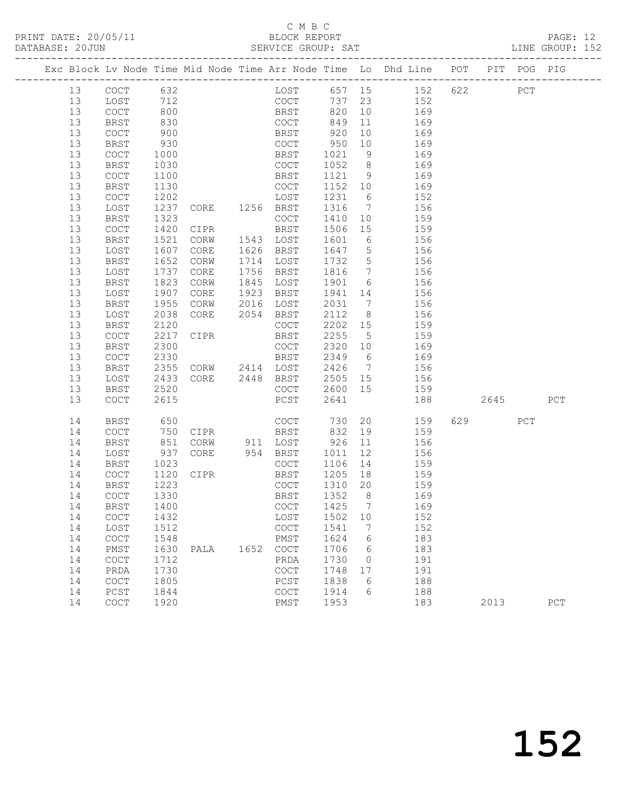# C M B C<br>BLOCK REPORT

| DATABASE: 20JUN |          |                                            |              |                        |      |              |                 |                 |                                                                                |      |     | LINE GROUP: 152 |  |
|-----------------|----------|--------------------------------------------|--------------|------------------------|------|--------------|-----------------|-----------------|--------------------------------------------------------------------------------|------|-----|-----------------|--|
|                 |          |                                            |              |                        |      |              |                 |                 | Exc Block Lv Node Time Mid Node Time Arr Node Time Lo Dhd Line POT PIT POG PIG |      |     |                 |  |
|                 | 13       | COCT 632                                   |              |                        |      |              |                 |                 | LOST 657 15 152 622 PCT                                                        |      |     |                 |  |
|                 | 13       | LOST                                       | 712          |                        |      |              |                 |                 | COCT 737 23 152                                                                |      |     |                 |  |
|                 | 13       | COCT                                       | 800          |                        |      | BRST 820     |                 |                 | 10 169                                                                         |      |     |                 |  |
|                 | 13       | <b>BRST</b>                                | 830          |                        |      | COCT         | 849             | 11              | 169                                                                            |      |     |                 |  |
|                 | 13       | $\mathtt{C}\mathtt{O}\mathtt{C}\mathtt{T}$ | 900          |                        |      | BRST         | 920             |                 | $\begin{array}{c}\n11 \\ 10 \\ 169\n\end{array}$                               |      |     |                 |  |
|                 | 13       | <b>BRST</b>                                | 930          |                        |      | COCT         | 950             |                 | 10 169                                                                         |      |     |                 |  |
|                 | 13       | COCT                                       | 1000         |                        |      | BRST         | 1021            | 9               | 169                                                                            |      |     |                 |  |
|                 | 13       | BRST                                       | 1030         |                        |      | COCT         | 1052 8          |                 | 169                                                                            |      |     |                 |  |
|                 | 13       | COCT                                       | 1100         |                        |      | BRST         | 1121 9          |                 | 169                                                                            |      |     |                 |  |
|                 | 13       | <b>BRST</b>                                | 1130         |                        |      | COCT         | 1152 10         |                 | 169                                                                            |      |     |                 |  |
|                 | 13       | COCT                                       | 1202         | LOST<br>CORE 1256 BRST |      |              | 1231            | $6\overline{6}$ | 152                                                                            |      |     |                 |  |
|                 | 13       | LOST                                       | 1237         |                        |      |              | 1316 7          |                 | 156                                                                            |      |     |                 |  |
|                 | 13       | BRST                                       | 1323         |                        |      | COCT         | 1410            | 10              | 159                                                                            |      |     |                 |  |
|                 | 13       | COCT                                       | 1420         | CIPR                   |      | BRST         | 1506 15         |                 | 159                                                                            |      |     |                 |  |
|                 | 13       | BRST                                       | 1521         | CORW                   |      | 1543 LOST    | 1601            | $6\overline{6}$ | 156                                                                            |      |     |                 |  |
|                 | 13       | LOST                                       | 1607         | CORE                   |      | 1626 BRST    | 1647 5          |                 | 156                                                                            |      |     |                 |  |
|                 | 13       | BRST                                       | 1652         | CORW                   |      | 1714 LOST    | 1732 5          |                 | 156                                                                            |      |     |                 |  |
|                 | 13       | LOST                                       | 1737         | CORE                   |      | 1756 BRST    |                 |                 | 1816 7 156                                                                     |      |     |                 |  |
|                 | 13       | BRST                                       | 1823         | CORW                   |      | 1845 LOST    | 1901            | 6 <sup>6</sup>  | 156                                                                            |      |     |                 |  |
|                 | 13       | LOST                                       | 1907         | CORE                   |      | 1923 BRST    |                 |                 | 1941 14 156                                                                    |      |     |                 |  |
|                 | 13       | <b>BRST</b>                                | 1955         | CORW                   |      | 2016 LOST    | 2031 7          |                 | 156                                                                            |      |     |                 |  |
|                 | 13       | LOST                                       | 2038         | CORE                   |      | 2054 BRST    | 2112            | 8 <sup>8</sup>  | 156                                                                            |      |     |                 |  |
|                 | 13       | BRST                                       | 2120         |                        |      | COCT         | 2202 15         |                 | 159                                                                            |      |     |                 |  |
|                 | 13       | COCT                                       | 2217         | <b>CIPR</b>            |      | BRST         | 2255            | $5^{\circ}$     | 159                                                                            |      |     |                 |  |
|                 | 13       | BRST                                       | 2300         |                        |      | COCT         | 2320 10         |                 | 169<br>2349 6 169                                                              |      |     |                 |  |
|                 | 13       | COCT                                       | 2330         |                        |      | BRST         |                 |                 |                                                                                |      |     |                 |  |
|                 | 13       | BRST                                       | 2355         | CORW 2414 LOST         |      |              |                 |                 | 2426 7 156                                                                     |      |     |                 |  |
|                 | 13       | LOST                                       | 2433         | CORE 2448 BRST         |      |              | 2505 15         |                 | 156                                                                            |      |     |                 |  |
|                 | 13<br>13 | <b>BRST</b><br>COCT                        | 2520<br>2615 |                        |      | COCT<br>PCST | 2600 15<br>2641 |                 | 159<br>188                                                                     | 2645 |     | PCT             |  |
|                 |          |                                            |              |                        |      |              |                 |                 |                                                                                |      |     |                 |  |
|                 | 14       | BRST                                       | 650          |                        |      | COCT         | 730             | 20              | 159                                                                            | 629  | PCT |                 |  |
|                 | 14       | COCT                                       | 750<br>851   | CIPR                   |      | <b>BRST</b>  | 832             | 19              | 159                                                                            |      |     |                 |  |
|                 | 14       | BRST                                       |              | CORW 911 LOST          |      |              | $926$ 11        |                 | 156                                                                            |      |     |                 |  |
|                 | 14       | LOST                                       | 937          | CORE                   |      | 954 BRST     | 1011            | 12              | 156                                                                            |      |     |                 |  |
|                 | 14       | BRST                                       | 1023         |                        |      | COCT         | 1106            | 14              | 159                                                                            |      |     |                 |  |
|                 | 14       | COCT                                       | 1120         | CIPR                   |      | <b>BRST</b>  | 1205 18         |                 | 159                                                                            |      |     |                 |  |
|                 | 14       | <b>BRST</b>                                | 1223         |                        |      | COCT         | 1310 20         |                 | 159                                                                            |      |     |                 |  |
|                 |          |                                            |              |                        |      | BRST 1352 8  |                 |                 | 169                                                                            |      |     |                 |  |
|                 | 14       | BRST                                       | 1400         |                        |      | COCT         | 1425            | $\overline{7}$  | 169                                                                            |      |     |                 |  |
|                 | 14       | COCT                                       | 1432         |                        |      | LOST         | 1502 10         |                 | 152                                                                            |      |     |                 |  |
|                 | 14       | LOST                                       | 1512         |                        |      | COCT         | 1541            | $\overline{7}$  | 152                                                                            |      |     |                 |  |
|                 | 14       | COCT                                       | 1548         |                        |      | PMST         | 1624            | $6\overline{6}$ | 183                                                                            |      |     |                 |  |
|                 | 14       | PMST                                       | 1630         | PALA                   | 1652 | COCT         | 1706            | 6               | 183                                                                            |      |     |                 |  |
|                 | 14       | COCT                                       | 1712         |                        |      | PRDA         | 1730            | $\overline{0}$  | 191                                                                            |      |     |                 |  |
|                 | 14       | PRDA                                       | 1730         |                        |      | COCT         | 1748            | 17              | 191                                                                            |      |     |                 |  |
|                 | 14       | COCT                                       | 1805         |                        |      | PCST         | 1838            | - 6             | 188                                                                            |      |     |                 |  |
|                 | 14       | PCST                                       | 1844         |                        |      | <b>COCT</b>  | 1914            | 6               | 188                                                                            |      |     |                 |  |
|                 | 14       | COCT                                       | 1920         |                        |      | PMST         | 1953            |                 | 183                                                                            | 2013 |     | PCT             |  |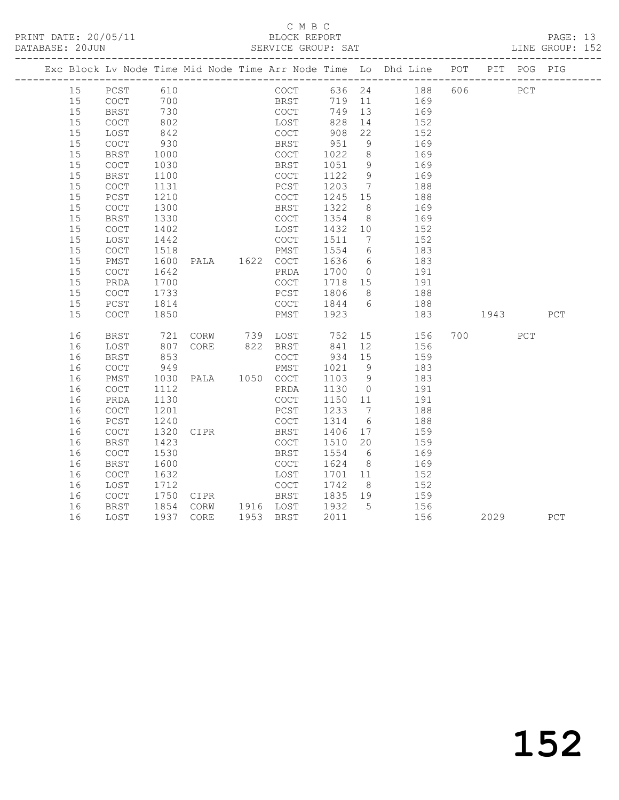# C M B C<br>BLOCK REPORT

PAGE: 13<br>LINE GROUP: 152

|  |    |                                            |            |  |                |      |             |            |                 | Exc Block Lv Node Time Mid Node Time Arr Node Time Lo Dhd Line POT |           | PIT POG PIG |     |
|--|----|--------------------------------------------|------------|--|----------------|------|-------------|------------|-----------------|--------------------------------------------------------------------|-----------|-------------|-----|
|  | 15 | PCST 610                                   |            |  |                |      |             |            |                 | COCT 636 24 188 606                                                | PCT       |             |     |
|  | 15 | COCT 700                                   |            |  |                |      | <b>BRST</b> |            |                 | 719 11 169                                                         |           |             |     |
|  | 15 | <b>BRST</b>                                | 730        |  |                | COCT |             |            |                 | 749 13 169                                                         |           |             |     |
|  | 15 | COCT                                       | 802        |  |                | LOST |             |            | 14              | 152                                                                |           |             |     |
|  | 15 | LOST                                       | 842        |  |                | COCT |             | 828<br>908 | 22              | 152                                                                |           |             |     |
|  | 15 | COCT                                       | 930        |  |                | BRST |             | 951        | 9               | 169                                                                |           |             |     |
|  | 15 | <b>BRST</b>                                | 1000       |  |                | COCT |             | 1022       | 8 <sup>8</sup>  | 169                                                                |           |             |     |
|  | 15 | COCT                                       | 1030       |  |                | BRST |             | 1051 9     |                 | 169                                                                |           |             |     |
|  | 15 | BRST                                       | 1100       |  |                | COCT |             | 1122 9     |                 | 169                                                                |           |             |     |
|  | 15 | $\mathtt{C}\mathtt{O}\mathtt{C}\mathtt{T}$ | 1131       |  |                | PCST |             | 1203 7     |                 | 188                                                                |           |             |     |
|  | 15 | PCST                                       | 1210       |  |                | COCT |             | 1245 15    |                 | 188                                                                |           |             |     |
|  | 15 | $\mathtt{C}\mathtt{O}\mathtt{C}\mathtt{T}$ | 1300       |  |                | BRST |             | 1322       | 8 <sup>8</sup>  | 169                                                                |           |             |     |
|  | 15 | <b>BRST</b>                                | 1330       |  |                | COCT |             | 1354       | 8 <sup>8</sup>  | 169                                                                |           |             |     |
|  | 15 | COCT                                       | 1402       |  |                | LOST |             | 1432 10    |                 | 152                                                                |           |             |     |
|  | 15 | LOST                                       | 1442       |  |                | COCT |             | 1511 7     |                 | 152                                                                |           |             |     |
|  | 15 | COCT                                       | 1518       |  |                | PMST |             | 1554 6     |                 | 183                                                                |           |             |     |
|  | 15 | PMST                                       | 1600       |  | PALA 1622 COCT |      |             | 1636 6     |                 | 183                                                                |           |             |     |
|  | 15 | $\mathtt{C}\mathtt{O}\mathtt{C}\mathtt{T}$ | 1642       |  |                | PRDA |             | 1700 0     |                 | 191                                                                |           |             |     |
|  | 15 | PRDA                                       | 1700       |  |                | COCT |             |            |                 | 1718  15  191                                                      |           |             |     |
|  | 15 | <b>COCT</b>                                | 1733       |  |                | PCST |             | 1806 8     |                 | 188                                                                |           |             |     |
|  | 15 | PCST                                       | 1814       |  |                | COCT |             | 1844 6     |                 | 188                                                                |           |             |     |
|  | 15 | <b>COCT</b>                                | 1850       |  |                | PMST |             | 1923       |                 | 183                                                                | 1943 PCT  |             |     |
|  | 16 | <b>BRST</b>                                | 721<br>807 |  |                |      |             |            |                 | CORW 739 LOST 752 15 156<br>CORE 822 BRST 841 12 156               | 700 — 100 | PCT         |     |
|  | 16 | LOST                                       |            |  |                |      |             |            |                 |                                                                    |           |             |     |
|  | 16 | <b>BRST</b>                                | 853        |  |                | COCT |             | 934 15     |                 | 159                                                                |           |             |     |
|  | 16 | COCT                                       | 949        |  |                |      |             | 1021 9     |                 | 183                                                                |           |             |     |
|  | 16 | PMST                                       | 1030       |  |                |      |             | 1103 9     |                 | 183                                                                |           |             |     |
|  | 16 | $\mathtt{C}\mathtt{O}\mathtt{C}\mathtt{T}$ | 1112       |  |                | PRDA |             | 1130 0     |                 | 191                                                                |           |             |     |
|  | 16 | PRDA                                       | 1130       |  |                | COCT |             | 1150 11    |                 | 191                                                                |           |             |     |
|  | 16 | COCT                                       | 1201       |  |                | PCST |             | 1233       | $7\overline{ }$ | 188                                                                |           |             |     |
|  | 16 | PCST                                       | 1240       |  |                | COCT |             | 1314       | 6               | 188                                                                |           |             |     |
|  | 16 | $\mathtt{C}\mathtt{O}\mathtt{C}\mathtt{T}$ | 1320       |  | <b>CIPR</b>    | BRST |             | 1406 17    |                 | 159                                                                |           |             |     |
|  | 16 | BRST                                       | 1423       |  |                | COCT |             | 1510       | 20              | 159                                                                |           |             |     |
|  | 16 | COCT                                       | 1530       |  |                | BRST |             | 1554 6     |                 | 169                                                                |           |             |     |
|  | 16 | BRST                                       | 1600       |  |                | COCT |             | 1624 8     |                 | 169                                                                |           |             |     |
|  | 16 | $\mathtt{C}\mathtt{O}\mathtt{C}\mathtt{T}$ | 1632       |  |                | LOST |             | 1701 11    |                 | 152                                                                |           |             |     |
|  | 16 | LOST                                       | 1712       |  |                | COCT |             | 1742       | 8 <sup>8</sup>  | 152                                                                |           |             |     |
|  | 16 | COCT                                       | 1750       |  | CIPR BRST      |      |             | 1835 19    |                 | 159                                                                |           |             |     |
|  | 16 | BRST                                       | 1854       |  | CORW 1916 LOST |      |             | 1932       | $5\overline{)}$ | 156                                                                |           |             |     |
|  | 16 | LOST                                       | 1937 CORE  |  | 1953 BRST      |      |             | 2011       |                 | 156                                                                | 2029      |             | PCT |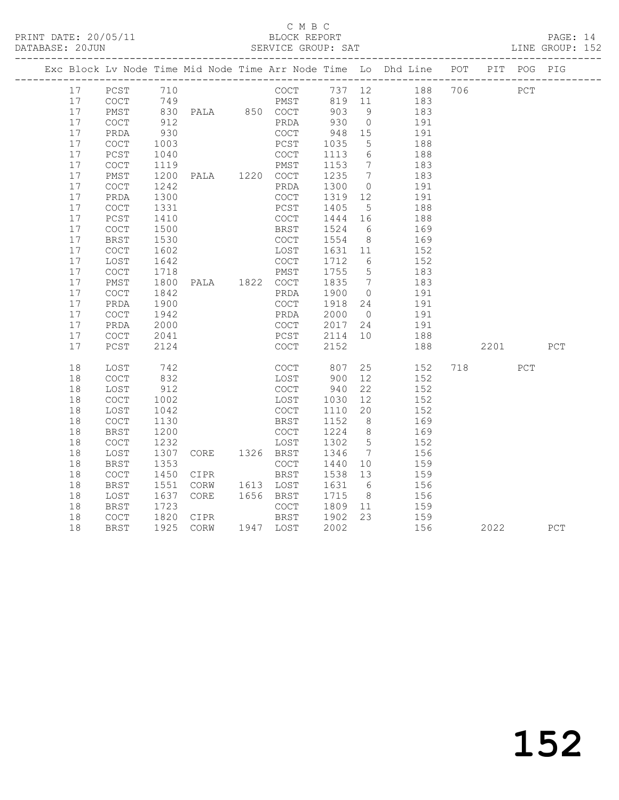## C M B C<br>BLOCK REPORT

PAGE: 14<br>LINE GROUP: 152

|    |                                            |      |                                             |              |         |                 | Exc Block Lv Node Time Mid Node Time Arr Node Time Lo Dhd Line POT PIT POG PIG |      |     |     |
|----|--------------------------------------------|------|---------------------------------------------|--------------|---------|-----------------|--------------------------------------------------------------------------------|------|-----|-----|
| 17 | PCST                                       | 710  |                                             | COCT         |         |                 | 737 12 188 706                                                                 | PCT  |     |     |
| 17 | COCT                                       |      |                                             |              |         |                 | PMST 819 11 183                                                                |      |     |     |
| 17 | PMST                                       |      |                                             |              | 903 9   |                 | 183                                                                            |      |     |     |
| 17 | COCT                                       | 912  |                                             | PRDA         | 930     | $\overline{0}$  | 191                                                                            |      |     |     |
| 17 | PRDA                                       | 930  |                                             | COCT         | 948     | 15              | 191                                                                            |      |     |     |
| 17 | COCT                                       | 1003 |                                             | PCST         | 1035    | $5\overline{)}$ | 188                                                                            |      |     |     |
| 17 | PCST                                       | 1040 |                                             | COCT         | 1113    | 6               | 188                                                                            |      |     |     |
| 17 | COCT                                       | 1119 |                                             | PMST         | 1153    | $7\overline{ }$ | 183                                                                            |      |     |     |
| 17 | PMST                                       | 1200 | PALA 1220 COCT                              |              | 1235    | $\overline{7}$  | 183                                                                            |      |     |     |
| 17 | COCT                                       | 1242 |                                             | PRDA         | 1300    | $\overline{0}$  | 191                                                                            |      |     |     |
| 17 | PRDA                                       | 1300 |                                             | COCT         | 1319    | 12              | 191                                                                            |      |     |     |
| 17 | $\mathtt{C}\mathtt{O}\mathtt{C}\mathtt{T}$ | 1331 |                                             | PCST         | 1405    | $5\overline{)}$ | 188                                                                            |      |     |     |
| 17 | PCST                                       | 1410 |                                             | COCT         | 1444 16 |                 | 188                                                                            |      |     |     |
| 17 | $\mathtt{C}\mathtt{O}\mathtt{C}\mathtt{T}$ | 1500 |                                             | BRST         | 1524    | 6               | 169                                                                            |      |     |     |
| 17 | <b>BRST</b>                                | 1530 |                                             | COCT         | 1554 8  |                 | 169                                                                            |      |     |     |
| 17 | COCT                                       | 1602 |                                             | LOST         | 1631 11 |                 | 152                                                                            |      |     |     |
| 17 | LOST                                       | 1642 |                                             | COCT         | 1712 6  |                 | 152                                                                            |      |     |     |
| 17 | $\mathtt{C}\mathtt{O}\mathtt{C}\mathtt{T}$ | 1718 |                                             | PMST         | 1755 5  |                 | 183                                                                            |      |     |     |
| 17 | PMST                                       | 1800 | PALA 1822 COCT                              |              | 1835 7  |                 | 183                                                                            |      |     |     |
| 17 | $\mathtt{C}\mathtt{O}\mathtt{C}\mathtt{T}$ | 1842 |                                             | PRDA         | 1900    | $\overline{0}$  | 191                                                                            |      |     |     |
| 17 | PRDA                                       | 1900 |                                             | COCT         | 1918    | 24              | 191                                                                            |      |     |     |
| 17 | COCT                                       | 1942 |                                             | PRDA         | 2000    | $\overline{0}$  | 191                                                                            |      |     |     |
| 17 | PRDA                                       | 2000 |                                             |              | 2017    | 24              | 191                                                                            |      |     |     |
| 17 | <b>COCT</b>                                | 2041 |                                             | COCT<br>PCST | 2114 10 |                 | 188                                                                            |      |     |     |
| 17 | PCST                                       | 2124 |                                             | COCT         | 2152    |                 | 188                                                                            | 2201 |     | PCT |
| 18 | LOST                                       | 742  |                                             | COCT         | 807     |                 | 25<br>152                                                                      | 718  | PCT |     |
| 18 | COCT                                       | 832  |                                             | LOST         | 900     | 12              | 152                                                                            |      |     |     |
| 18 | LOST                                       | 912  |                                             | COCT         | 940     | 22              | 152                                                                            |      |     |     |
| 18 | COCT                                       | 1002 |                                             | LOST         | 1030    | 12              | 152                                                                            |      |     |     |
| 18 | LOST                                       | 1042 |                                             | COCT         | 1110    | 20              | 152                                                                            |      |     |     |
| 18 | COCT                                       | 1130 |                                             | BRST         | 1152    | 8 <sup>8</sup>  | 169                                                                            |      |     |     |
| 18 | <b>BRST</b>                                | 1200 |                                             | COCT         | 1224    | 8 <sup>8</sup>  | 169                                                                            |      |     |     |
| 18 | COCT                                       | 1232 |                                             | LOST         | 1302    | $5\overline{)}$ | 152                                                                            |      |     |     |
| 18 | LOST                                       | 1307 | CORE 1326 BRST                              |              | 1346    | $\overline{7}$  | 156                                                                            |      |     |     |
| 18 | BRST                                       | 1353 |                                             | COCT         | 1440    | 10              | 159                                                                            |      |     |     |
| 18 | COCT                                       | 1450 | CIPR                                        | BRST         | 1538    | 13              | 159                                                                            |      |     |     |
| 18 | <b>BRST</b>                                | 1551 | CORW                                        | 1613 LOST    | 1631    | 6               | 156                                                                            |      |     |     |
| 18 | LOST                                       | 1637 | CORE                                        | 1656 BRST    | 1715    | 8 <sup>8</sup>  | 156                                                                            |      |     |     |
| 18 | <b>BRST</b>                                | 1723 |                                             | COCT         | 1809    | 11              | 159                                                                            |      |     |     |
| 18 | COCT                                       |      |                                             |              | 1902 23 |                 | 159                                                                            |      |     |     |
| 18 | BRST                                       |      | 1820 CIPR     BRST<br>1925 CORW   1947 LOST |              | 2002    |                 | 156                                                                            | 2022 |     | PCT |
|    |                                            |      |                                             |              |         |                 |                                                                                |      |     |     |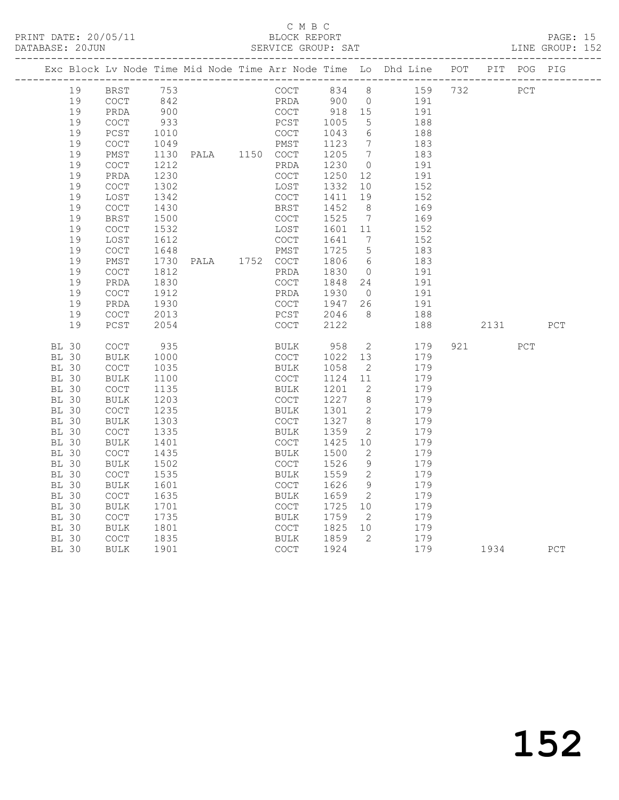### C M B C<br>BLOCK REPORT

PAGE: 15<br>LINE GROUP: 152

|              |              |                                            |      |                |             |         |                              | Exc Block Lv Node Time Mid Node Time Arr Node Time Lo Dhd Line POT |     |            | PIT POG PIG |     |
|--------------|--------------|--------------------------------------------|------|----------------|-------------|---------|------------------------------|--------------------------------------------------------------------|-----|------------|-------------|-----|
|              | 19           | <b>BRST</b>                                | 753  |                | COCT        | 834     | 8                            | 159                                                                | 732 | <b>PCT</b> |             |     |
|              | 19           | $\mathtt{C}\mathtt{O}\mathtt{C}\mathtt{T}$ | 842  |                | PRDA        | 900 0   |                              | 191                                                                |     |            |             |     |
|              | 19           | PRDA                                       | 900  |                | COCT        | 918 15  |                              | 191                                                                |     |            |             |     |
|              | 19           | <b>COCT</b>                                | 933  |                | PCST        | 1005    | 5                            | 188                                                                |     |            |             |     |
|              | 19           | PCST                                       | 1010 |                | COCT        | 1043    | 6                            | 188                                                                |     |            |             |     |
|              | 19           | $\mathtt{C}\mathtt{O}\mathtt{C}\mathtt{T}$ | 1049 |                | PMST        | 1123    | $\overline{7}$               | 183                                                                |     |            |             |     |
|              | 19           | PMST                                       | 1130 | PALA 1150 COCT |             | 1205    | $\overline{7}$               | 183                                                                |     |            |             |     |
|              | 19           | <b>COCT</b>                                | 1212 |                | PRDA        | 1230    | $\overline{0}$               | 191                                                                |     |            |             |     |
|              | 19           | PRDA                                       | 1230 |                | COCT        | 1250    | 12                           | 191                                                                |     |            |             |     |
|              | 19           | COCT                                       | 1302 |                | LOST        | 1332    | 10                           | 152                                                                |     |            |             |     |
|              | 19           | LOST                                       | 1342 |                | COCT        | 1411    | 19                           | 152                                                                |     |            |             |     |
|              | 19           | COCT                                       | 1430 |                | BRST        | 1452    | 8                            | 169                                                                |     |            |             |     |
|              | 19           | BRST                                       | 1500 |                | COCT        | 1525    | $\overline{7}$               | 169                                                                |     |            |             |     |
|              | 19           | COCT                                       | 1532 |                | LOST        | 1601 11 |                              | 152                                                                |     |            |             |     |
|              | 19           | LOST                                       | 1612 |                | COCT        | 1641    | $7\phantom{.0}\phantom{.0}7$ | 152                                                                |     |            |             |     |
|              | 19           | $\mathtt{C}\mathtt{O}\mathtt{C}\mathtt{T}$ | 1648 |                | PMST        | 1725    | $5\overline{)}$              | 183                                                                |     |            |             |     |
|              | 19           | PMST                                       | 1730 | PALA 1752 COCT |             | 1806    | 6                            | 183                                                                |     |            |             |     |
|              | 19           | <b>COCT</b>                                | 1812 |                | PRDA        | 1830    | $\overline{0}$               | 191                                                                |     |            |             |     |
|              | 19           | PRDA                                       | 1830 |                | COCT        | 1848    | 24                           | 191                                                                |     |            |             |     |
|              | 19           | $\mathtt{C}\mathtt{O}\mathtt{C}\mathtt{T}$ | 1912 |                | PRDA        | 1930    | $\overline{0}$               | 191                                                                |     |            |             |     |
|              | 19           | PRDA                                       | 1930 |                | COCT        | 1947    | 26                           | 191                                                                |     |            |             |     |
|              | 19           | <b>COCT</b>                                | 2013 |                | PCST        | 2046    | 8 <sup>8</sup>               | 188                                                                |     |            |             |     |
|              | 19           | PCST                                       | 2054 |                | COCT        | 2122    |                              | 188                                                                |     | 2131       |             | PCT |
| <b>BL 30</b> |              | <b>COCT</b>                                | 935  |                | BULK        | 958     | $\overline{2}$               | 179                                                                |     | 921 — 100  | PCT         |     |
| <b>BL 30</b> |              | BULK                                       | 1000 |                | COCT        | 1022    | 13                           | 179                                                                |     |            |             |     |
| <b>BL 30</b> |              | COCT                                       | 1035 |                | BULK        | 1058    | $\overline{2}$               | 179                                                                |     |            |             |     |
| <b>BL 30</b> |              | BULK                                       | 1100 |                | COCT        | 1124    | 11                           | 179                                                                |     |            |             |     |
| BL 30        |              | COCT                                       | 1135 |                | BULK        | 1201    | -2                           | 179                                                                |     |            |             |     |
| <b>BL 30</b> |              | <b>BULK</b>                                | 1203 |                | COCT        | 1227    | 8 <sup>8</sup>               | 179                                                                |     |            |             |     |
| <b>BL 30</b> |              | COCT                                       | 1235 |                | BULK        | 1301    | 2                            | 179                                                                |     |            |             |     |
| <b>BL 30</b> |              | <b>BULK</b>                                | 1303 |                | COCT        | 1327    | 8 <sup>8</sup>               | 179                                                                |     |            |             |     |
| <b>BL 30</b> |              | COCT                                       | 1335 |                | BULK        | 1359    | -2                           | 179                                                                |     |            |             |     |
| <b>BL 30</b> |              | <b>BULK</b>                                | 1401 |                | <b>COCT</b> | 1425    | 10 <sup>°</sup>              | 179                                                                |     |            |             |     |
| <b>BL 30</b> |              | COCT                                       | 1435 |                | BULK        | 1500    | 2                            | 179                                                                |     |            |             |     |
| <b>BL 30</b> |              | <b>BULK</b>                                | 1502 |                | <b>COCT</b> | 1526    | 9                            | 179                                                                |     |            |             |     |
| <b>BL 30</b> |              | COCT                                       | 1535 |                | BULK        | 1559    | $\overline{c}$               | 179                                                                |     |            |             |     |
| <b>BL 30</b> |              | <b>BULK</b>                                | 1601 |                | COCT        | 1626    | - 9                          | 179                                                                |     |            |             |     |
| <b>BL 30</b> |              | $\mathtt{C}\mathtt{O}\mathtt{C}\mathtt{T}$ | 1635 |                | <b>BULK</b> | 1659    | $\overline{2}$               | 179                                                                |     |            |             |     |
| <b>BL 30</b> |              | <b>BULK</b>                                | 1701 |                | COCT        | 1725    | 10                           | 179                                                                |     |            |             |     |
| <b>BL 30</b> |              | <b>COCT</b>                                | 1735 |                | <b>BULK</b> | 1759    | $\overline{2}$               | 179                                                                |     |            |             |     |
| <b>BL 30</b> |              | <b>BULK</b>                                | 1801 |                | COCT        | 1825    | 10                           | 179                                                                |     |            |             |     |
|              | <b>BL 30</b> | <b>COCT</b>                                | 1835 |                | BULK        | 1859    | $\overline{2}$               | 179                                                                |     |            |             |     |
| <b>BL 30</b> |              | <b>BULK</b>                                | 1901 |                | COCT        | 1924    |                              | 179                                                                |     | 1934       |             | PCT |
|              |              |                                            |      |                |             |         |                              |                                                                    |     |            |             |     |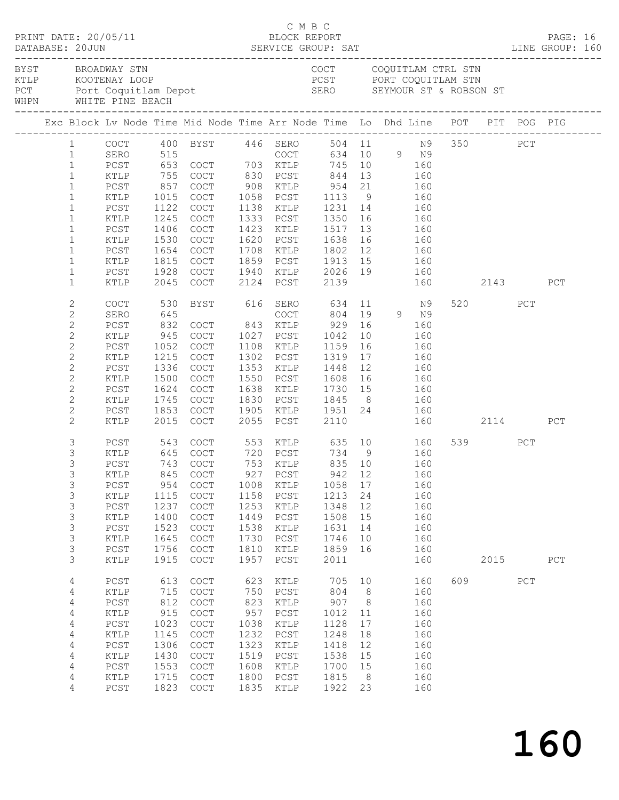|  |                                                                                                                                                                                   |                                                                                                     |                                                                            | $\begin{array}{cccc}\n\texttt{CRINT} & \texttt{DATE:} & 20/05/11 & \texttt{C} & \texttt{M} & \texttt{B} & \texttt{C}\n\end{array}$<br>DATABASE: 20JUN SERVICE GROUP: SAT LINE GROUP: 160                             |                                                                                  |                                                                                                                                                                                                 |                                                                                      |                                                                                              |                                 |                                                                           |     |                     |     | PAGE: 16 |  |
|--|-----------------------------------------------------------------------------------------------------------------------------------------------------------------------------------|-----------------------------------------------------------------------------------------------------|----------------------------------------------------------------------------|----------------------------------------------------------------------------------------------------------------------------------------------------------------------------------------------------------------------|----------------------------------------------------------------------------------|-------------------------------------------------------------------------------------------------------------------------------------------------------------------------------------------------|--------------------------------------------------------------------------------------|----------------------------------------------------------------------------------------------|---------------------------------|---------------------------------------------------------------------------|-----|---------------------|-----|----------|--|
|  |                                                                                                                                                                                   | BYST BROADWAY STN<br>WHPN WHITE PINE BEACH                                                          |                                                                            | EXAMPLE STREET SOUTHING STREET PORT COOLS AND STREET PORT COOLS AND STREET PORT COOLS AND STREET PORT COOLS FOR SEYMOUR STREET PORT COOLS TO PORT COOLS FOR SEYMOUR STREET PORT COOLS FOR SEYMOUR STREET PORT COOLST |                                                                                  | COCT COQUITLAM CTRL STN                                                                                                                                                                         |                                                                                      |                                                                                              |                                 |                                                                           |     |                     |     |          |  |
|  |                                                                                                                                                                                   |                                                                                                     |                                                                            | Exc Block Lv Node Time Mid Node Time Arr Node Time Lo Dhd Line POT PIT POG PIG                                                                                                                                       |                                                                                  |                                                                                                                                                                                                 |                                                                                      |                                                                                              |                                 |                                                                           |     |                     |     |          |  |
|  | $\mathbf{1}$<br>$\mathbf{1}$<br>$\mathbf{1}$<br>$\mathbf{1}$<br>$\mathbf{1}$<br>$\mathbf{1}$                                                                                      | PCST<br>KTLP<br>PCST<br>KTLP<br>PCST                                                                | $\begin{array}{c} 857 \\ 1015 \\ 1122 \end{array}$<br>1245<br>1406         | 1 COCT 400 BYST 446 SERO 504 11 N9 350 PCT<br>1 SERO 515 COCT 634 10 9 N9<br>1 PCST 653 COCT 703 KTLP 745 10 160<br>KTLP 755 COCT 830 PCST 844 13 160<br>COCT<br>COCT                                                |                                                                                  | COCT 908 KTLP 954 21 160<br>COCT 1058 PCST 1113 9 160<br>COCT 1138 KTLP 1231 14 160<br>1333 PCST<br>1423 KTLP                                                                                   | 1517 13                                                                              |                                                                                              | 1350 16 160                     |                                                                           |     |                     |     |          |  |
|  | $\mathbf{1}$<br>$\mathbf{1}$<br>$\mathbf{1}$<br>$\mathbf{1}$<br>$\mathbf{1}$                                                                                                      | KTLP<br>PCST<br>KTLP<br>PCST<br>KTLP                                                                | 1530<br>1654<br>1815<br>1928<br>2045                                       | COCT<br>COCT<br>COCT<br>COCT<br>COCT                                                                                                                                                                                 |                                                                                  | 1423 KTLP 1517 13<br>1620 PCST 1638 16<br>1620 PCST 1638 16 160<br>1708 KTLP 1802 12 160<br>1859 PCST 1913 15 160<br>1940 KTLP 2026 19       160<br>2124   PCST      2139                   160 |                                                                                      |                                                                                              | 160                             |                                                                           |     | 160 2143            |     | PCT      |  |
|  | 2<br>$\mathbf{2}$<br>$\mathbf{2}$<br>$\mathbf{2}$<br>$\mathbf{2}$<br>$\mathbf{2}$<br>$\mathbf{2}$<br>$\mathbf{2}$<br>$\mathbf{2}$<br>$\mathbf{2}$<br>$\mathbf{2}$<br>$\mathbf{2}$ | <b>COCT</b><br>SERO<br>PCST<br>KTLP<br>PCST<br>KTLP<br>PCST<br>KTLP<br>PCST<br>KTLP<br>PCST<br>KTLP | 530<br>645<br>1052<br>1215<br>1336<br>1500<br>1624<br>1745<br>1853<br>2015 | BYST 616 SERO<br>COCT<br>COCT<br>COCT<br>COCT<br>COCT<br>COCT<br>COCT<br>COCT                                                                                                                                        |                                                                                  | 1108 KTLP 1159<br>1302 PCST<br>1353 KTLP 1448 12 160<br>1550 PCST 1608 16 160<br>1638 KTLP 1730 15 160<br>1830 PCST 1845 8 160<br>1905 KTLP 1951 24 160<br>2055 PCST 2110 160                   | 634<br>804<br>1319<br>2110                                                           | 16                                                                                           | 11 N9<br>9 N 9<br>160<br>17 160 | 160<br>160                                                                |     | 520 320<br>160 2114 | PCT | PCT      |  |
|  | $\mathfrak{Z}$<br>3<br>3<br>3<br>3<br>$\mathsf 3$<br>3<br>$\mathsf 3$<br>3<br>$\mathsf 3$<br>3                                                                                    | PCST<br>KTLP<br>PCST<br>PCST<br>KTLP<br>PCST<br>KTLP<br>PCST<br>KTLP<br>PCST<br>KTLP                | 954<br>1115<br>1237<br>1400<br>1523<br>1645<br>1756<br>1915                | 543 COCT 553 KTLP 635 10 160<br>KTLP 845 COCT 927 PCST 942 12 160<br>COCT<br>COCT<br>COCT<br>COCT<br>COCT<br>COCT<br>COCT<br>COCT                                                                                    | 1008<br>1158<br>1253<br>1449<br>1538<br>1730<br>1810<br>1957                     | KTLP<br>${\tt PCST}$<br>KTLP<br>PCST<br>KTLP<br>PCST<br>KTLP<br>PCST                                                                                                                            | 1058 17<br>1213<br>1348<br>1508<br>1631<br>1746<br>1859<br>2011                      | 24<br>12<br>15<br>14<br>10<br>16                                                             |                                 | 160<br>160<br>160<br>160<br>160<br>160<br>160<br>160                      |     | 539 PCT<br>2015     |     | PCT      |  |
|  | 4<br>4<br>4<br>4<br>4<br>4<br>4<br>4<br>4<br>4<br>4                                                                                                                               | PCST<br>KTLP<br>PCST<br>KTLP<br>PCST<br>KTLP<br>$PCST$<br>KTLP<br>PCST<br>KTLP<br>PCST              | 613<br>715<br>812<br>915<br>1023<br>1145<br>1306<br>1430<br>1553<br>1715   | $\operatorname{COT}$<br>COCT<br>COCT<br>COCT<br>COCT<br>COCT<br>COCT<br>COCT<br>COCT<br>COCT<br>1823 COCT                                                                                                            | 623<br>750<br>823<br>957<br>1038<br>1232<br>1323<br>1519<br>1608<br>1800<br>1835 | KTLP<br>${\tt PCST}$<br>KTLP<br>PCST<br>KTLP<br>${\tt PCST}$<br>KTLP<br>PCST<br>KTLP<br>PCST<br>KTLP                                                                                            | 705<br>804<br>907<br>1012<br>1128<br>1248<br>1418<br>1538<br>1700<br>1815<br>1922 23 | 10<br>8 <sup>8</sup><br>8 <sup>8</sup><br>11<br>17<br>18<br>12<br>15<br>15<br>8 <sup>8</sup> |                                 | 160<br>160<br>160<br>160<br>160<br>160<br>160<br>160<br>160<br>160<br>160 | 609 |                     | PCT |          |  |

160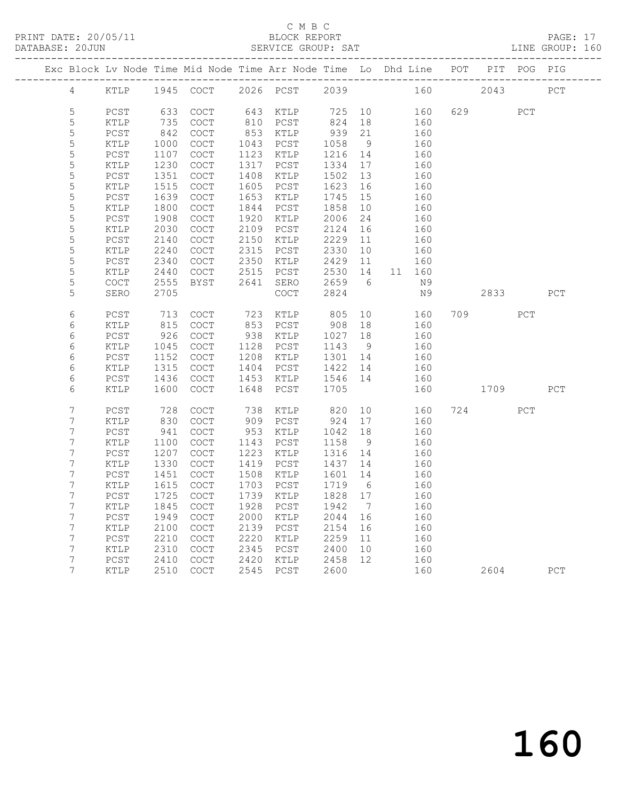# C M B C

| DATABASE: 20JUN |                |        |      |                                                                                |      | SERVICE GROUP: SAT  |         |    |    |        |      |      | LINE GROUP: 160 |
|-----------------|----------------|--------|------|--------------------------------------------------------------------------------|------|---------------------|---------|----|----|--------|------|------|-----------------|
|                 |                |        |      | Exc Block Lv Node Time Mid Node Time Arr Node Time Lo Dhd Line POT PIT POG PIG |      |                     |         |    |    |        |      |      |                 |
|                 |                |        |      | 4 KTLP 1945 COCT 2026 PCST 2039 160 2043 PCT                                   |      |                     |         |    |    |        |      |      |                 |
|                 | 5              | PCST   | 633  | COCT                                                                           |      | 643 KTLP 725 10 160 |         |    |    |        | 629  | PCT  |                 |
|                 | 5              | KTLP   | 735  | COCT                                                                           |      | 810 PCST            | 824     | 18 |    | 160    |      |      |                 |
|                 | 5              | PCST   | 842  | $\mathtt{C}\mathtt{O}\mathtt{C}\mathtt{T}$                                     |      | 853 KTLP            | 939     | 21 |    | 160    |      |      |                 |
|                 | 5              | KTLP   | 1000 | COCT                                                                           |      | 1043 PCST           | 1058    | 9  |    | 160    |      |      |                 |
|                 | 5              | PCST   | 1107 | COCT                                                                           |      | 1123 KTLP           | 1216    | 14 |    | 160    |      |      |                 |
|                 | $\mathsf S$    | KTLP   | 1230 | COCT                                                                           |      | 1317 PCST           | 1334 17 |    |    | 160    |      |      |                 |
|                 | 5              | PCST   | 1351 | $\operatorname{COT}$                                                           | 1408 | KTLP                | 1502    | 13 |    | 160    |      |      |                 |
|                 | 5              | KTLP   | 1515 | COCT                                                                           | 1605 | PCST                | 1623    | 16 |    | 160    |      |      |                 |
|                 | 5              | PCST   | 1639 | COCT                                                                           | 1653 | KTLP                | 1745    | 15 |    | 160    |      |      |                 |
|                 | 5              | KTLP   | 1800 | $\operatorname{COT}$                                                           | 1844 | PCST                | 1858    | 10 |    | 160    |      |      |                 |
|                 | 5              | PCST   | 1908 | COCT                                                                           | 1920 | KTLP                | 2006    | 24 |    | 160    |      |      |                 |
|                 | 5              | KTLP   | 2030 | COCT                                                                           | 2109 | PCST                | 2124    | 16 |    | 160    |      |      |                 |
|                 | 5              | PCST   | 2140 | $\mathtt{C}\mathtt{O}\mathtt{C}\mathtt{T}$                                     | 2150 | KTLP                | 2229    | 11 |    | 160    |      |      |                 |
|                 | 5              | KTLP   | 2240 | COCT                                                                           | 2315 | PCST                | 2330    | 10 |    | 160    |      |      |                 |
|                 | 5              | PCST   | 2340 | COCT                                                                           | 2350 | KTLP                | 2429    | 11 |    | 160    |      |      |                 |
|                 | 5              | KTLP   | 2440 | COCT                                                                           | 2515 | PCST                | 2530 14 |    |    | 11 160 |      |      |                 |
|                 | 5              | COCT   | 2555 | BYST                                                                           | 2641 | SERO                | 2659 6  |    |    | N 9    |      |      |                 |
|                 | 5              | SERO   | 2705 |                                                                                |      | COCT                | 2824    |    |    | N 9    |      | 2833 | PCT             |
|                 | 6              | PCST   | 713  | COCT                                                                           |      | 723 KTLP            | 805     |    | 10 | 160    | 709  | PCT  |                 |
|                 | 6              | KTLP   | 815  | COCT                                                                           |      | 853 PCST            | 908     | 18 |    | 160    |      |      |                 |
|                 | 6              | $PCST$ | 926  | COCT                                                                           | 938  | KTLP                | 1027    | 18 |    | 160    |      |      |                 |
|                 | 6              | KTLP   | 1045 | COCT                                                                           | 1128 | PCST                | 1143 9  |    |    | 160    |      |      |                 |
|                 | 6              | PCST   | 1152 | COCT                                                                           | 1208 | KTLP                | 1301 14 |    |    | 160    |      |      |                 |
|                 | 6              | KTLP   | 1315 | COCT                                                                           | 1404 | PCST                | 1422 14 |    |    | 160    |      |      |                 |
|                 | 6              | $PCST$ | 1436 | COCT                                                                           | 1453 | KTLP                | 1546 14 |    |    | 160    |      |      |                 |
|                 | 6              | KTLP   | 1600 | <b>COCT</b>                                                                    |      | 1648 PCST           | 1705    |    |    | 160    | 1709 |      | PCT             |
|                 | 7              | PCST   | 728  | <b>COCT</b>                                                                    | 738  | KTLP                | 820     |    | 10 | 160    | 724  | PCT  |                 |
|                 | 7              | KTLP   | 830  | COCT                                                                           |      | 909 PCST            | 924     | 17 |    | 160    |      |      |                 |
|                 | 7              | PCST   | 941  | COCT                                                                           | 953  | KTLP                | 1042    | 18 |    | 160    |      |      |                 |
|                 | 7              | KTLP   | 1100 | COCT                                                                           | 1143 | PCST                | 1158    | 9  |    | 160    |      |      |                 |
|                 | 7              | PCST   | 1207 | COCT                                                                           | 1223 | KTLP                | 1316 14 |    |    | 160    |      |      |                 |
|                 | 7              | KTLP   | 1330 | COCT                                                                           | 1419 | PCST                | 1437    | 14 |    | 160    |      |      |                 |
|                 | 7              | PCST   | 1451 | COCT                                                                           |      | 1508 KTLP           | 1601 14 |    |    | 160    |      |      |                 |
|                 | 7              | KTLP   | 1615 | COCT                                                                           |      | 1703 PCST           | 1719 6  |    |    | 160    |      |      |                 |
|                 | $7^{\circ}$    |        |      | PCST 1725 COCT 1739 KTLP 1828 17 160                                           |      |                     |         |    |    |        |      |      |                 |
|                 | 7              | KTLP   | 1845 | COCT                                                                           | 1928 | PCST                | 1942    | 7  |    | 160    |      |      |                 |
|                 | 7              | PCST   | 1949 | COCT                                                                           | 2000 | KTLP                | 2044    | 16 |    | 160    |      |      |                 |
|                 | 7              | KTLP   | 2100 | COCT                                                                           | 2139 | PCST                | 2154    | 16 |    | 160    |      |      |                 |
|                 | 7              | PCST   | 2210 | COCT                                                                           | 2220 | KTLP                | 2259    | 11 |    | 160    |      |      |                 |
|                 | 7              | KTLP   | 2310 | COCT                                                                           | 2345 | PCST                | 2400    | 10 |    | 160    |      |      |                 |
|                 | 7              | PCST   | 2410 | COCT                                                                           | 2420 | $\texttt{KTLP}$     | 2458    | 12 |    | 160    |      |      |                 |
|                 | $7\phantom{.}$ | KTLP   | 2510 | COCT                                                                           | 2545 | PCST                | 2600    |    |    | 160    | 2604 |      | PCT             |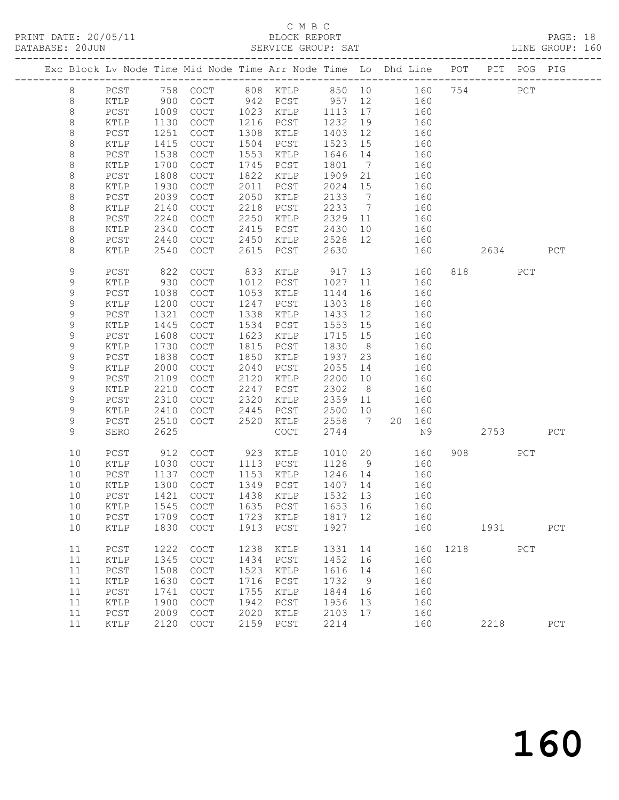# C M B C<br>BLOCK REPORT

| DATABASE: 20JUN |             |                 |      | --------------------------                                                     |      | SERVICE GROUP: SAT   |         |                 |    |        |          |           |     | LINE GROUP: 160 |  |
|-----------------|-------------|-----------------|------|--------------------------------------------------------------------------------|------|----------------------|---------|-----------------|----|--------|----------|-----------|-----|-----------------|--|
|                 |             |                 |      | Exc Block Lv Node Time Mid Node Time Arr Node Time Lo Dhd Line POT PIT POG PIG |      |                      |         |                 |    |        |          |           |     |                 |  |
|                 | 8           |                 |      | PCST 758 COCT 808 KTLP 850 10 160 754 PCT                                      |      |                      |         |                 |    |        |          |           |     |                 |  |
|                 | $\,8\,$     | KTLP            | 900  |                                                                                |      | COCT 942 PCST 957 12 |         |                 |    | 160    |          |           |     |                 |  |
|                 | $\,8\,$     | PCST            | 1009 | COCT                                                                           |      | 1023 KTLP 1113       |         | 17              |    | 160    |          |           |     |                 |  |
|                 | $\,8\,$     | $\texttt{KTLP}$ | 1130 | COCT                                                                           |      | 1216 PCST            | 1232    | 19              |    | 160    |          |           |     |                 |  |
|                 | 8           | PCST            | 1251 | COCT                                                                           |      | 1308 KTLP            | 1403    | 12              |    | 160    |          |           |     |                 |  |
|                 | $\,8\,$     | KTLP            | 1415 | COCT                                                                           |      | 1504 PCST            | 1523    | 15              |    | 160    |          |           |     |                 |  |
|                 | $\,8\,$     | PCST            | 1538 | $\mathtt{C}\mathtt{O}\mathtt{C}\mathtt{T}$                                     | 1553 | KTLP                 | 1646    | 14              |    | 160    |          |           |     |                 |  |
|                 | $\,8\,$     | KTLP            | 1700 | COCT                                                                           | 1745 | PCST                 | 1801    | $\overline{7}$  |    | 160    |          |           |     |                 |  |
|                 | $\,8\,$     | PCST            | 1808 | $\operatorname{COT}$                                                           | 1822 | KTLP                 | 1909    | 21              |    | 160    |          |           |     |                 |  |
|                 | 8           | KTLP            | 1930 | <b>COCT</b>                                                                    | 2011 | PCST                 | 2024    | 15              |    | 160    |          |           |     |                 |  |
|                 | 8           | PCST            | 2039 | $\operatorname{COT}$                                                           | 2050 | KTLP                 | 2133    | $\overline{7}$  |    | 160    |          |           |     |                 |  |
|                 | $\,8\,$     | KTLP            | 2140 | COCT                                                                           | 2218 | PCST                 | 2233    | $\overline{7}$  |    | 160    |          |           |     |                 |  |
|                 | 8           | PCST            | 2240 | COCT                                                                           | 2250 | KTLP                 | 2329    | 11              |    | 160    |          |           |     |                 |  |
|                 | 8           | KTLP            | 2340 | COCT                                                                           | 2415 | PCST                 | 2430    | 10              |    | 160    |          |           |     |                 |  |
|                 | 8           | PCST            | 2440 | $\operatorname{COT}$                                                           | 2450 | KTLP                 | 2528    | 12              |    | 160    |          |           |     |                 |  |
|                 | 8           | KTLP            | 2540 | $\operatorname{COT}$                                                           | 2615 | PCST                 | 2630    |                 |    | 160    |          | 2634      |     | PCT             |  |
|                 |             |                 |      |                                                                                |      |                      |         |                 |    |        |          |           |     |                 |  |
|                 | 9           | PCST            | 822  | COCT                                                                           | 833  | KTLP                 | 917     |                 | 13 | 160    |          | 818 — 18  | PCT |                 |  |
|                 | 9           | KTLP            | 930  | $\operatorname{COT}$                                                           | 1012 | PCST                 | 1027    | 11              |    | 160    |          |           |     |                 |  |
|                 | 9           | $PCST$          | 1038 | COCT                                                                           |      | 1053 KTLP            | 1144    | 16              |    | 160    |          |           |     |                 |  |
|                 | 9           | $\texttt{KTLP}$ | 1200 | COCT                                                                           | 1247 | PCST                 | 1303    | 18              |    | 160    |          |           |     |                 |  |
|                 | $\mathsf 9$ | PCST            | 1321 | COCT                                                                           | 1338 | KTLP                 | 1433    | 12              |    | 160    |          |           |     |                 |  |
|                 | 9           | $\texttt{KTLP}$ | 1445 | COCT                                                                           | 1534 | PCST                 | 1553    | 15              |    | 160    |          |           |     |                 |  |
|                 | 9           | ${\tt PCST}$    | 1608 | COCT                                                                           | 1623 | KTLP                 | 1715    | 15              |    | 160    |          |           |     |                 |  |
|                 | 9           | $\texttt{KTLP}$ | 1730 | COCT                                                                           | 1815 | PCST                 | 1830    | 8 <sup>8</sup>  |    | 160    |          |           |     |                 |  |
|                 | $\mathsf 9$ | $PCST$          | 1838 | COCT                                                                           | 1850 | KTLP                 | 1937    | 23              |    | 160    |          |           |     |                 |  |
|                 | $\mathsf 9$ | KTLP            | 2000 | $\mathtt{C}\mathtt{O}\mathtt{C}\mathtt{T}$                                     | 2040 | PCST                 | 2055    | 14              |    | 160    |          |           |     |                 |  |
|                 | 9           | ${\tt PCST}$    | 2109 | $\operatorname{COT}$                                                           | 2120 | KTLP                 | 2200    | 10              |    | 160    |          |           |     |                 |  |
|                 | 9           | $\texttt{KTLP}$ | 2210 | COCT                                                                           | 2247 | PCST                 | 2302    | 8 <sup>8</sup>  |    | 160    |          |           |     |                 |  |
|                 | $\mathsf 9$ | $PCST$          | 2310 | $\operatorname{COT}$                                                           | 2320 | KTLP                 | 2359    | 11              |    | 160    |          |           |     |                 |  |
|                 | $\mathsf 9$ | KTLP            | 2410 | COCT                                                                           | 2445 | PCST                 | 2500    | 10              |    | 160    |          |           |     |                 |  |
|                 | 9           | PCST            | 2510 | COCT                                                                           | 2520 | KTLP                 | 2558    | $7\overline{ }$ |    | 20 160 |          |           |     |                 |  |
|                 | 9           | SERO            | 2625 |                                                                                |      | COCT                 | 2744    |                 |    | N9     |          | 2753      |     | PCT             |  |
|                 |             |                 |      |                                                                                |      |                      |         |                 |    |        |          |           |     |                 |  |
|                 | 10          | PCST            | 912  | COCT                                                                           |      | 923 KTLP             | 1010    | 20              |    | 160    |          | 908 — 100 | PCT |                 |  |
|                 | 10          | KTLP            | 1030 | COCT                                                                           |      | 1113 PCST            | 1128    | 9               |    | 160    |          |           |     |                 |  |
|                 | 10          | PCST            | 1137 | COCT                                                                           |      | 1153 KTLP            | 1246 14 |                 |    | 160    |          |           |     |                 |  |
|                 | 10          | KTLP            | 1300 | COCT                                                                           |      | 1349 PCST            | 1407 14 |                 |    | 160    |          |           |     |                 |  |
|                 | 10          |                 |      | PCST 1421 COCT 1438 KTLP 1532 13                                               |      |                      |         |                 |    | 160    |          |           |     |                 |  |
|                 | 10          | KTLP            | 1545 | COCT                                                                           | 1635 | PCST                 | 1653 16 |                 |    | 160    |          |           |     |                 |  |
|                 | 10          | PCST            | 1709 | COCT                                                                           | 1723 | KTLP                 | 1817 12 |                 |    | 160    |          |           |     |                 |  |
|                 | 10          | $\verb KTLP $   | 1830 | COCT                                                                           | 1913 | PCST                 | 1927    |                 |    | 160    |          | 1931      |     | PCT             |  |
|                 | 11          | PCST            | 1222 | COCT                                                                           | 1238 | KTLP                 | 1331    | 14              |    |        | 160 1218 |           | PCT |                 |  |
|                 | 11          | KTLP            | 1345 | COCT                                                                           | 1434 | PCST                 | 1452    | 16              |    | 160    |          |           |     |                 |  |
|                 | 11          | PCST            | 1508 | COCT                                                                           | 1523 | KTLP                 | 1616    | 14              |    | 160    |          |           |     |                 |  |
|                 | 11          | $\texttt{KTLP}$ | 1630 | COCT                                                                           | 1716 | PCST                 | 1732    | 9               |    | 160    |          |           |     |                 |  |
|                 | 11          | PCST            | 1741 | COCT                                                                           | 1755 | KTLP                 | 1844    | 16              |    | 160    |          |           |     |                 |  |
|                 | 11          | KTLP            | 1900 | COCT                                                                           | 1942 | ${\tt PCST}$         | 1956    | 13              |    | 160    |          |           |     |                 |  |
|                 | 11          | PCST            | 2009 | COCT                                                                           | 2020 | KTLP                 | 2103    | 17              |    | 160    |          |           |     |                 |  |
|                 | 11          | KTLP            | 2120 | $\operatorname{COT}$                                                           | 2159 | PCST                 | 2214    |                 |    | 160    |          | 2218      |     | ${\tt PCT}$     |  |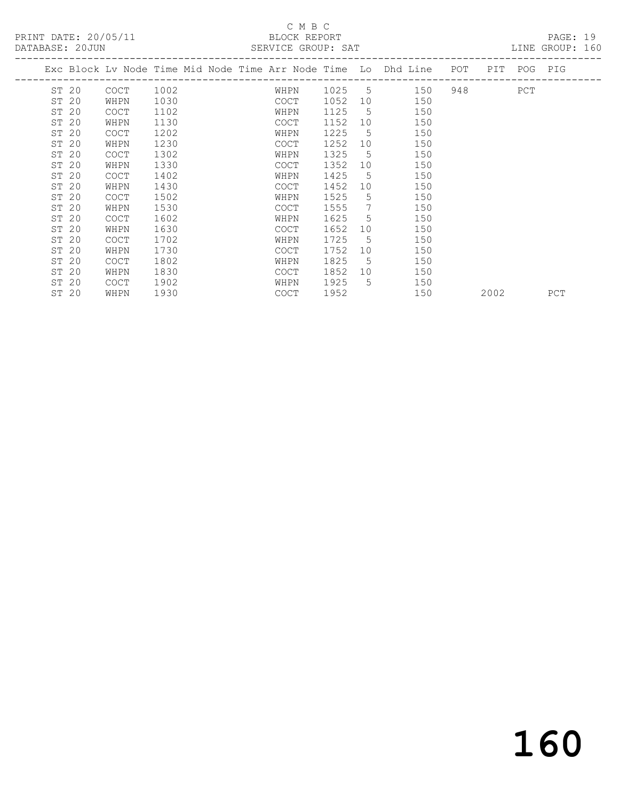# C M B C<br>BLOCK REPORT

| DATABASE: 20JUN |             |                            |  | SERVICE GROUP: SAT |        |             |                                                                                |           |     | LINE GROUP: 160 |
|-----------------|-------------|----------------------------|--|--------------------|--------|-------------|--------------------------------------------------------------------------------|-----------|-----|-----------------|
|                 |             | -------------------------- |  |                    |        |             | Exc Block Lv Node Time Mid Node Time Arr Node Time Lo Dhd Line POT PIT POG PIG |           |     |                 |
| ST 20           | COCT        | 1002                       |  | WHPN               | 1025 5 |             | 150                                                                            | 948 — 100 | PCT |                 |
| ST 20           | WHPN        | 1030                       |  | COCT               | 1052   | 10          | 150                                                                            |           |     |                 |
| ST 20           | <b>COCT</b> | 1102                       |  | WHPN               | 1125   | $5^{\circ}$ | 150                                                                            |           |     |                 |
| ST 20           | WHPN        | 1130                       |  | COCT               | 1152   | 10          | 150                                                                            |           |     |                 |
| ST 20           | COCT        | 1202                       |  | WHPN               | 1225   | 5           | 150                                                                            |           |     |                 |
| ST 20           | WHPN        | 1230                       |  | COCT               | 1252   | 10          | 150                                                                            |           |     |                 |
| ST 20           | COCT        | 1302                       |  | WHPN               | 1325   | $-5$        | 150                                                                            |           |     |                 |
| ST 20           | WHPN        | 1330                       |  | <b>COCT</b>        | 1352   | 10          | 150                                                                            |           |     |                 |
| ST 20           | <b>COCT</b> | 1402                       |  | WHPN               | 1425   | 5           | 150                                                                            |           |     |                 |
| ST 20           | WHPN        | 1430                       |  | <b>COCT</b>        | 1452   | 10          | 150                                                                            |           |     |                 |
| ST 20           | <b>COCT</b> | 1502                       |  | WHPN               | 1525   | 5           | 150                                                                            |           |     |                 |
| ST 20           | WHPN        | 1530                       |  | COCT               | 1555   | 7           | 150                                                                            |           |     |                 |
| ST 20           | <b>COCT</b> | 1602                       |  | WHPN               | 1625   | $5^{\circ}$ | 150                                                                            |           |     |                 |
| ST 20           | WHPN        | 1630                       |  | COCT               | 1652   | 10          | 150                                                                            |           |     |                 |
| ST 20           | COCT        | 1702                       |  | WHPN               | 1725   | 5           | 150                                                                            |           |     |                 |
| ST 20           | WHPN        | 1730                       |  | COCT               | 1752   | 10          | 150                                                                            |           |     |                 |
| ST 20           | COCT        | 1802                       |  | WHPN               | 1825   | $5^{\circ}$ | 150                                                                            |           |     |                 |
| ST 20           | WHPN        | 1830                       |  | COCT               | 1852   |             | 10<br>150                                                                      |           |     |                 |
| ST 20           | COCT        | 1902                       |  | WHPN               | 1925   | 5           | 150                                                                            |           |     |                 |
| ST 20           | WHPN        | 1930                       |  | COCT               | 1952   |             | 150                                                                            | 2002      |     | PCT             |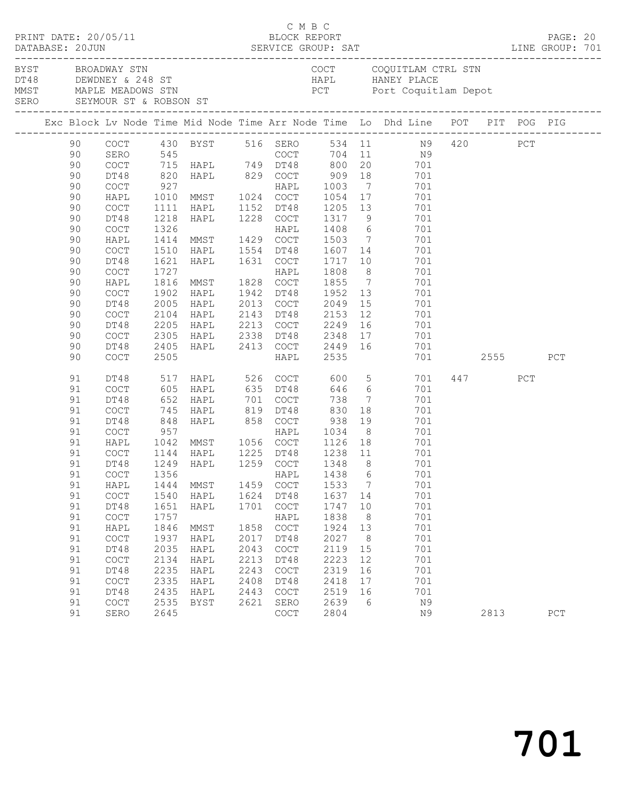| PRINT DATE: 20/05/11 |    |                                            |      |                                                             |      |                                            | C M B C<br>BLOCK REPORT               |                | DATABASE: 20JUN SERVICE GROUP: SAT LINE GROUP: 701                                                                                                          |          |     | PAGE: 20 |  |
|----------------------|----|--------------------------------------------|------|-------------------------------------------------------------|------|--------------------------------------------|---------------------------------------|----------------|-------------------------------------------------------------------------------------------------------------------------------------------------------------|----------|-----|----------|--|
|                      |    | BYST BROADWAY STN                          |      |                                                             |      |                                            |                                       |                | COCT COQUITLAM CTRL STN<br>DT48 DEWDNEY & 248 ST<br>MMST MAPLE MEADOWS STN BOOK PCT POTT Coquit1<br>SERO SEYMOUR ST & ROBSON ST<br>PCT Port Coquitlam Depot |          |     |          |  |
|                      |    |                                            |      |                                                             |      |                                            |                                       |                | Exc Block Lv Node Time Mid Node Time Arr Node Time Lo Dhd Line POT PIT POG PIG                                                                              |          |     |          |  |
|                      | 90 |                                            |      |                                                             |      |                                            |                                       |                | COCT 430 BYST 516 SERO 534 11 N9 420 PCT<br>SERO 545 COCT 704 11 N9<br>COCT 715 HAPL 749 DT48 800 20 701                                                    |          |     |          |  |
|                      | 90 |                                            |      |                                                             |      |                                            |                                       |                |                                                                                                                                                             |          |     |          |  |
|                      | 90 |                                            |      |                                                             |      |                                            |                                       |                |                                                                                                                                                             |          |     |          |  |
|                      | 90 | DT48                                       |      |                                                             |      |                                            |                                       |                |                                                                                                                                                             |          |     |          |  |
|                      | 90 | COCT                                       |      |                                                             |      |                                            |                                       |                |                                                                                                                                                             |          |     |          |  |
|                      | 90 | HAPL                                       |      |                                                             |      |                                            |                                       |                |                                                                                                                                                             |          |     |          |  |
|                      | 90 | COCT                                       | 1111 | HAPL 1152 DT48                                              |      |                                            |                                       |                | 1205 13 701                                                                                                                                                 |          |     |          |  |
|                      | 90 | DT48                                       | 1218 | HAPL 1228 COCT                                              |      |                                            |                                       |                | 1317 9 701                                                                                                                                                  |          |     |          |  |
|                      | 90 | $\mathtt{C}\mathtt{O}\mathtt{C}\mathtt{T}$ |      |                                                             |      |                                            | 1408 6<br>1503 7                      |                | 701                                                                                                                                                         |          |     |          |  |
|                      | 90 | HAPL                                       |      |                                                             |      |                                            |                                       |                | 701                                                                                                                                                         |          |     |          |  |
|                      | 90 | COCT                                       |      | 1510 HAPL 1554 DT48                                         |      |                                            | 1607 14                               |                | 701                                                                                                                                                         |          |     |          |  |
|                      | 90 | DT48                                       | 1621 | HAPL 1631 COCT                                              |      |                                            | 1717 10                               |                | 701                                                                                                                                                         |          |     |          |  |
|                      | 90 | COCT                                       | 1727 | 1727<br>1816 MMST - 1828 COCT<br>--- 1942 DT48              |      |                                            | 1808                                  |                | $\frac{8}{7}$<br>701                                                                                                                                        |          |     |          |  |
|                      | 90 | HAPL                                       |      |                                                             |      |                                            | 1855                                  |                | 701                                                                                                                                                         |          |     |          |  |
|                      | 90 | COCT                                       | 1902 | HAPL                                                        |      | 1942 DT48                                  | 1952                                  |                | 13<br>701                                                                                                                                                   |          |     |          |  |
|                      | 90 | DT48                                       | 2005 | HAPL                                                        |      |                                            | 2013 COCT 2049                        |                | 15<br>701                                                                                                                                                   |          |     |          |  |
|                      | 90 | COCT                                       | 2104 | HAPL<br>2104 HAPL<br>2205 HAPL                              |      |                                            |                                       |                | 701                                                                                                                                                         |          |     |          |  |
|                      | 90 | DT48                                       |      |                                                             |      |                                            |                                       |                | 701                                                                                                                                                         |          |     |          |  |
|                      | 90 | COCT                                       |      | 2305 HAPL 2338 DT48 2348                                    |      |                                            |                                       |                | 17 701                                                                                                                                                      |          |     |          |  |
|                      | 90 | DT48                                       |      |                                                             |      |                                            |                                       |                | 2405 HAPL 2413 COCT 2449 16 701                                                                                                                             |          |     |          |  |
|                      | 90 | COCT                                       | 2505 |                                                             |      | HAPL                                       | 2535                                  |                |                                                                                                                                                             | 701 2555 |     | PCT      |  |
|                      | 91 | DT48                                       |      |                                                             |      |                                            |                                       |                | 517 HAPL 526 COCT 600 5 701                                                                                                                                 | 447      | PCT |          |  |
|                      | 91 | COCT                                       |      | 605 HAPL 635 DT48                                           |      |                                            |                                       |                | 646 6<br>701                                                                                                                                                |          |     |          |  |
|                      | 91 | DT48                                       |      |                                                             |      |                                            | 738                                   |                | $7\overline{ }$<br>701                                                                                                                                      |          |     |          |  |
|                      | 91 | COCT                                       |      | 652 HAPL 701 COCT<br>745 HAPL 819 DT48<br>848 HAPL 858 COCT |      |                                            | 830                                   | 18             | 701                                                                                                                                                         |          |     |          |  |
|                      | 91 | DT48                                       |      |                                                             |      |                                            | 938                                   |                | 19<br>701                                                                                                                                                   |          |     |          |  |
|                      | 91 | COCT                                       | 957  |                                                             |      |                                            | HAPL 1034                             |                | 8<br>701                                                                                                                                                    |          |     |          |  |
|                      | 91 | HAPL                                       |      | 1042 MMST 1056 COCT                                         |      |                                            |                                       |                | 1126 18 701                                                                                                                                                 |          |     |          |  |
|                      | 91 | COCT                                       |      | 1144 HAPL     1225   DT48<br>1249   HAPL      1259   COCT   |      |                                            | 1225 DT48 1238 11<br>1259 COCT 1348 8 |                | 701<br>701                                                                                                                                                  |          |     |          |  |
|                      | 91 | DT48                                       |      |                                                             |      |                                            |                                       |                |                                                                                                                                                             |          |     |          |  |
|                      | 91 |                                            |      |                                                             |      |                                            |                                       |                | 701                                                                                                                                                         |          |     |          |  |
|                      | 91 | HAPL                                       | 1444 | MMST                                                        | 1459 | COCT                                       | 1533                                  | $\overline{7}$ | 701                                                                                                                                                         |          |     |          |  |
|                      | 91 | $\operatorname{COT}$                       | 1540 | HAPL                                                        | 1624 | DT48                                       | 1637 14                               |                | 701                                                                                                                                                         |          |     |          |  |
|                      | 91 | DT48                                       | 1651 | HAPL                                                        | 1701 | COCT                                       | 1747                                  | 10             | 701                                                                                                                                                         |          |     |          |  |
|                      | 91 | COCT                                       | 1757 |                                                             |      | HAPL                                       | 1838                                  | 8              | 701                                                                                                                                                         |          |     |          |  |
|                      | 91 | HAPL                                       | 1846 | MMST                                                        | 1858 | $\mathtt{C}\mathtt{O}\mathtt{C}\mathtt{T}$ | 1924                                  | 13             | 701                                                                                                                                                         |          |     |          |  |
|                      | 91 | COCT                                       | 1937 | HAPL                                                        | 2017 | DT48                                       | 2027                                  | 8 <sup>8</sup> | 701                                                                                                                                                         |          |     |          |  |
|                      | 91 | DT48                                       | 2035 | HAPL                                                        | 2043 | COCT                                       | 2119                                  | 15             | 701                                                                                                                                                         |          |     |          |  |
|                      | 91 | COCT                                       | 2134 | HAPL                                                        | 2213 | DT48                                       | 2223                                  | 12             | 701                                                                                                                                                         |          |     |          |  |
|                      | 91 | DT48                                       | 2235 | HAPL                                                        | 2243 | COCT                                       | 2319                                  | 16             | 701                                                                                                                                                         |          |     |          |  |
|                      | 91 | COCT                                       | 2335 | HAPL                                                        | 2408 | DT48                                       | 2418                                  | 17             | 701                                                                                                                                                         |          |     |          |  |
|                      | 91 | DT48                                       | 2435 | HAPL                                                        | 2443 | COCT                                       | 2519                                  | 16             | 701                                                                                                                                                         |          |     |          |  |
|                      | 91 | COCT                                       | 2535 | BYST                                                        | 2621 | SERO                                       | 2639                                  | - 6            | N9                                                                                                                                                          |          |     |          |  |
|                      | 91 | SERO                                       | 2645 |                                                             |      | COCT                                       | 2804                                  |                | N9                                                                                                                                                          | 2813     |     | PCT      |  |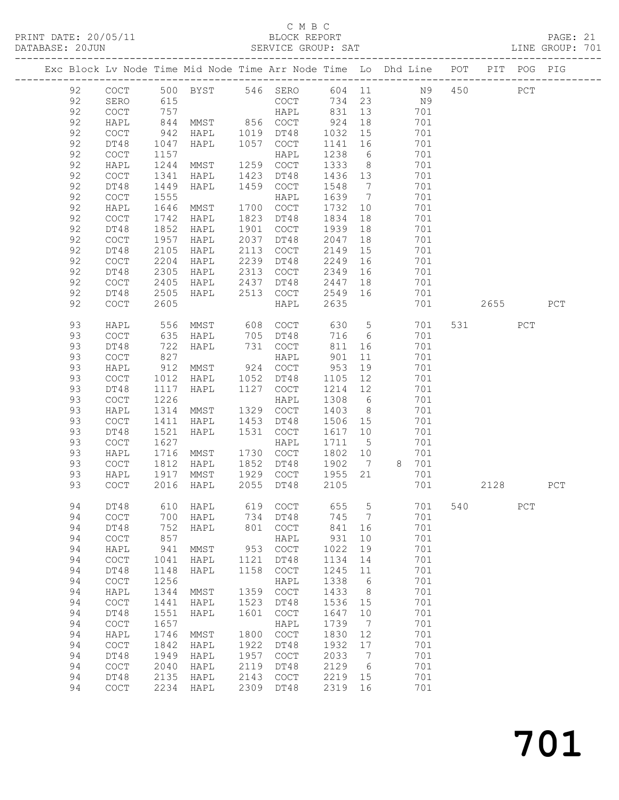# C M B C

PRINT DATE: 20/05/11 BLOCK REPORT PAGE: 21 DATABASE: 20JUN SERVICE GROUP: SAT ------------------------------------------------------------------------------------------------- Exc Block Lv Node Time Mid Node Time Arr Node Time Lo Dhd Line POT PIT POG PIG ------------------------------------------------------------------------------------------------- 92 COCT 500 BYST 546 SERO 604 11 N9 450 PCT 92 SERO 615 COCT 734 23 N9 92 COCT 757 HAPL 831 13 701

| 92 | HAPL                                       | 844  | $\operatorname{MMS} T$          | 856  | $_{\mathrm{COT}}$                          | 924     | 18              |   | 701 |     |      |             |             |
|----|--------------------------------------------|------|---------------------------------|------|--------------------------------------------|---------|-----------------|---|-----|-----|------|-------------|-------------|
| 92 | COCT                                       | 942  | HAPL                            | 1019 | DT48                                       | 1032    | 15              |   | 701 |     |      |             |             |
| 92 | DT48                                       | 1047 | HAPL                            | 1057 | COCT                                       | 1141    | 16              |   | 701 |     |      |             |             |
| 92 | COCT                                       | 1157 |                                 |      | HAPL                                       | 1238    | $\sqrt{6}$      |   | 701 |     |      |             |             |
| 92 | HAPL                                       | 1244 | MMST                            | 1259 | $\mathtt{C}\mathtt{O}\mathtt{C}\mathtt{T}$ | 1333    | $\,8\,$         |   | 701 |     |      |             |             |
| 92 | $\mathtt{C}\mathtt{O}\mathtt{C}\mathtt{T}$ | 1341 | HAPL                            | 1423 | DT48                                       | 1436    | 13              |   | 701 |     |      |             |             |
| 92 | DT48                                       | 1449 |                                 | 1459 | $\mathtt{C}\mathtt{O}\mathtt{C}\mathtt{T}$ | 1548    | $7\phantom{.0}$ |   | 701 |     |      |             |             |
|    |                                            |      | HAPL                            |      |                                            |         |                 |   |     |     |      |             |             |
| 92 | COCT                                       | 1555 |                                 |      | HAPL                                       | 1639    | $7\phantom{.0}$ |   | 701 |     |      |             |             |
| 92 | HAPL                                       | 1646 | MMST                            | 1700 | $\mathtt{C}\mathtt{O}\mathtt{C}\mathtt{T}$ | 1732    | $10$            |   | 701 |     |      |             |             |
| 92 | $\mathtt{C}\mathtt{O}\mathtt{C}\mathtt{T}$ | 1742 | HAPL                            | 1823 | DT48                                       | 1834    | 18              |   | 701 |     |      |             |             |
| 92 | DT48                                       | 1852 | HAPL                            | 1901 | $\mathtt{C}\mathtt{O}\mathtt{C}\mathtt{T}$ | 1939    | 18              |   | 701 |     |      |             |             |
| 92 | COCT                                       | 1957 | HAPL                            | 2037 | DT48                                       | 2047    | 18              |   | 701 |     |      |             |             |
| 92 | DT48                                       | 2105 | HAPL                            | 2113 | $\mathtt{C}\mathtt{O}\mathtt{C}\mathtt{T}$ | 2149    | 15              |   | 701 |     |      |             |             |
| 92 | COCT                                       | 2204 | HAPL                            | 2239 | DT48                                       | 2249    | 16              |   | 701 |     |      |             |             |
| 92 | DT48                                       | 2305 | HAPL                            | 2313 | COCT                                       | 2349    | 16              |   | 701 |     |      |             |             |
| 92 | COCT                                       | 2405 | HAPL                            | 2437 | DT48                                       | 2447    | 18              |   | 701 |     |      |             |             |
| 92 | DT48                                       | 2505 | HAPL                            | 2513 | $\mathtt{C}\mathtt{O}\mathtt{C}\mathtt{T}$ | 2549    | 16              |   | 701 |     |      |             |             |
| 92 | COCT                                       | 2605 |                                 |      | HAPL                                       | 2635    |                 |   | 701 |     | 2655 |             | ${\tt PCT}$ |
|    |                                            |      |                                 |      |                                            |         |                 |   |     |     |      |             |             |
| 93 | HAPL                                       | 556  | MMST                            | 608  | $\mathtt{C}\mathtt{O}\mathtt{C}\mathtt{T}$ | 630     | 5               |   | 701 | 531 |      | PCT         |             |
| 93 | $\mathtt{C}\mathtt{O}\mathtt{C}\mathtt{T}$ | 635  | HAPL                            | 705  | DT48                                       | 716     | $\sqrt{6}$      |   | 701 |     |      |             |             |
|    |                                            |      |                                 |      |                                            |         |                 |   |     |     |      |             |             |
| 93 | DT48                                       | 722  | HAPL                            | 731  | $\mathtt{C}\mathtt{O}\mathtt{C}\mathtt{T}$ | 811     | 16              |   | 701 |     |      |             |             |
| 93 | COCT                                       | 827  |                                 |      | HAPL                                       | 901     | 11              |   | 701 |     |      |             |             |
| 93 | ${\tt HAPL}$                               | 912  | MMST                            | 924  | $\mathtt{C}\mathtt{O}\mathtt{C}\mathtt{T}$ | 953     | 19              |   | 701 |     |      |             |             |
| 93 | COCT                                       | 1012 | HAPL                            | 1052 | DT48                                       | 1105    | 12              |   | 701 |     |      |             |             |
| 93 | DT48                                       | 1117 | HAPL                            | 1127 | $\mathtt{C}\mathtt{O}\mathtt{C}\mathtt{T}$ | 1214    | $12$            |   | 701 |     |      |             |             |
| 93 | $\mathtt{C}\mathtt{O}\mathtt{C}\mathtt{T}$ | 1226 |                                 |      | HAPL                                       | 1308    | $6\,$           |   | 701 |     |      |             |             |
| 93 | HAPL                                       | 1314 | MMST                            | 1329 | $\mathtt{C}\mathtt{O}\mathtt{C}\mathtt{T}$ | 1403    | 8               |   | 701 |     |      |             |             |
| 93 | $\mathtt{C}\mathtt{O}\mathtt{C}\mathtt{T}$ | 1411 | HAPL                            | 1453 | DT48                                       | 1506    | 15              |   | 701 |     |      |             |             |
| 93 | DT48                                       | 1521 | HAPL                            | 1531 | $\mathtt{C}\mathtt{O}\mathtt{C}\mathtt{T}$ | 1617    | 10              |   | 701 |     |      |             |             |
| 93 | $\mathtt{C}\mathtt{O}\mathtt{C}\mathtt{T}$ | 1627 |                                 |      | HAPL                                       | 1711    | $\overline{5}$  |   | 701 |     |      |             |             |
| 93 | HAPL                                       | 1716 | MMST                            | 1730 | $\mathtt{C}\mathtt{O}\mathtt{C}\mathtt{T}$ | 1802    | 10              |   | 701 |     |      |             |             |
| 93 | $\mathtt{C}\mathtt{O}\mathtt{C}\mathtt{T}$ | 1812 | HAPL                            | 1852 | DT48                                       | 1902    | 7               | 8 | 701 |     |      |             |             |
| 93 | HAPL                                       | 1917 | $\operatorname{MMS} \mathbb{T}$ | 1929 | $\mathtt{C}\mathtt{O}\mathtt{C}\mathtt{T}$ | 1955    | 21              |   | 701 |     |      |             |             |
| 93 | COCT                                       | 2016 | HAPL                            | 2055 | DT48                                       | 2105    |                 |   | 701 |     | 2128 |             | ${\tt PCT}$ |
|    |                                            |      |                                 |      |                                            |         |                 |   |     |     |      |             |             |
| 94 | DT48                                       | 610  | HAPL                            | 619  | COCT                                       | 655     | $\overline{5}$  |   | 701 | 540 |      | ${\tt PCT}$ |             |
|    |                                            |      |                                 |      |                                            |         |                 |   |     |     |      |             |             |
| 94 | $\mathtt{C}\mathtt{O}\mathtt{C}\mathtt{T}$ | 700  | HAPL                            | 734  | DT48                                       | 745     | $7\phantom{.0}$ |   | 701 |     |      |             |             |
| 94 | DT48                                       | 752  | HAPL                            | 801  | $\mathtt{C}\mathtt{O}\mathtt{C}\mathtt{T}$ | 841     | 16              |   | 701 |     |      |             |             |
| 94 | $\mathtt{C}\mathtt{O}\mathtt{C}\mathtt{T}$ | 857  |                                 |      | HAPL                                       | 931     | 10              |   | 701 |     |      |             |             |
| 94 | HAPL                                       | 941  | MMST                            | 953  | $\mathtt{C}\mathtt{O}\mathtt{C}\mathtt{T}$ | 1022    | 19              |   | 701 |     |      |             |             |
| 94 | COCT                                       | 1041 | HAPL                            | 1121 | DT48                                       | 1134    | 14              |   | 701 |     |      |             |             |
| 94 | DT48                                       | 1148 | HAPL                            | 1158 | $\mathtt{C}\mathtt{O}\mathtt{C}\mathtt{T}$ | 1245 11 |                 |   | 701 |     |      |             |             |
| 94 | COCT                                       | 1256 |                                 |      | HAPL                                       | 1338    | 6               |   | 701 |     |      |             |             |
| 94 | HAPL                                       | 1344 | MMST                            | 1359 | COCT                                       | 1433    | 8 <sup>8</sup>  |   | 701 |     |      |             |             |
| 94 | COCT                                       | 1441 | HAPL                            | 1523 | DT48                                       | 1536    | 15              |   | 701 |     |      |             |             |
| 94 | DT48                                       | 1551 | HAPL                            | 1601 | COCT                                       | 1647    | 10              |   | 701 |     |      |             |             |
| 94 | COCT                                       | 1657 |                                 |      | HAPL                                       | 1739    | $\overline{7}$  |   | 701 |     |      |             |             |
| 94 | HAPL                                       | 1746 | MMST                            | 1800 | COCT                                       | 1830    | 12              |   | 701 |     |      |             |             |
| 94 | COCT                                       | 1842 | HAPL                            | 1922 | DT48                                       | 1932    | 17              |   | 701 |     |      |             |             |
| 94 | DT48                                       | 1949 | HAPL                            | 1957 | COCT                                       | 2033    | $\overline{7}$  |   | 701 |     |      |             |             |
| 94 |                                            |      |                                 |      |                                            | 2129    | 6               |   | 701 |     |      |             |             |
|    | COCT                                       | 2040 | HAPL                            | 2119 | DT48                                       |         |                 |   |     |     |      |             |             |
| 94 | DT48                                       | 2135 | HAPL                            | 2143 | COCT                                       | 2219    | 15              |   | 701 |     |      |             |             |
| 94 | COCT                                       | 2234 | HAPL                            | 2309 | DT48                                       | 2319    | 16              |   | 701 |     |      |             |             |
|    |                                            |      |                                 |      |                                            |         |                 |   |     |     |      |             |             |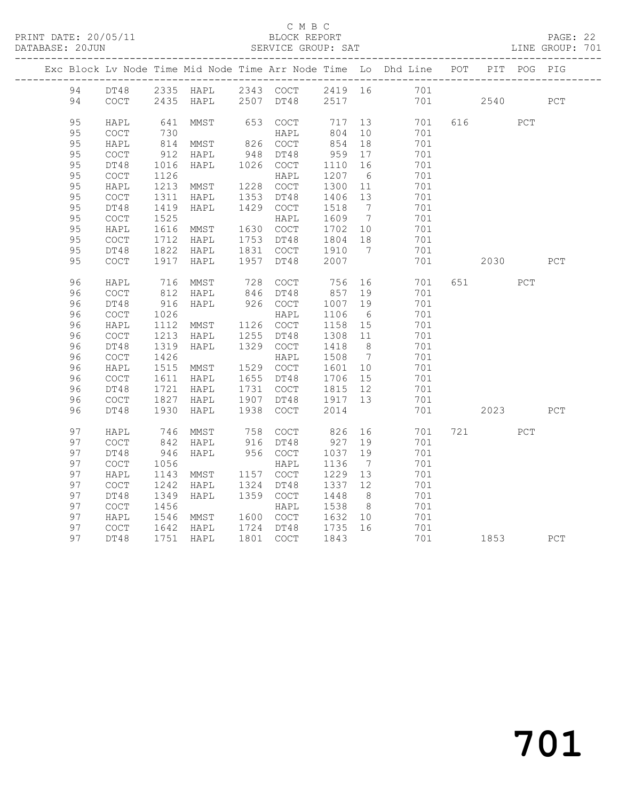### C M B C<br>BLOCK REPORT

## PAGE: 22<br>LINE GROUP: 701

|  |    |                                                    |            | Exc Block Lv Node Time Mid Node Time Arr Node Time Lo Dhd Line POT |      |                  |            |                |     |     |       | PIT POG PIG |     |
|--|----|----------------------------------------------------|------------|--------------------------------------------------------------------|------|------------------|------------|----------------|-----|-----|-------|-------------|-----|
|  | 94 |                                                    |            | DT48 2335 HAPL 2343 COCT 2419 16 701                               |      |                  |            |                |     |     |       |             |     |
|  | 94 | COCT                                               |            | 2435 HAPL                                                          |      | 2507 DT48        | 2517       |                | 701 |     | 2540  |             | PCT |
|  | 95 |                                                    |            |                                                                    |      |                  |            |                | 701 |     | 616 7 | PCT         |     |
|  | 95 | HAPL<br>$\mathtt{C}\mathtt{O}\mathtt{C}\mathtt{T}$ | 641<br>730 | MMST                                                               |      | 653 COCT<br>HAPL | 717<br>804 | 13<br>10       | 701 |     |       |             |     |
|  | 95 | HAPL                                               | 814        | MMST                                                               |      | 826 COCT         | 854        | 18             | 701 |     |       |             |     |
|  | 95 | $\mathtt{C}\mathtt{O}\mathtt{C}\mathtt{T}$         | 912        | HAPL                                                               | 948  | DT48             | 959        | 17             | 701 |     |       |             |     |
|  | 95 | DT48                                               | 1016       | HAPL                                                               |      | 1026 COCT        | 1110       | 16             | 701 |     |       |             |     |
|  | 95 | <b>COCT</b>                                        | 1126       |                                                                    |      | HAPL             | 1207       | 6              | 701 |     |       |             |     |
|  | 95 | HAPL                                               | 1213       | MMST                                                               |      | 1228 COCT        | 1300       | 11             | 701 |     |       |             |     |
|  | 95 | $\mathtt{C}\mathtt{O}\mathtt{C}\mathtt{T}$         | 1311       | HAPL                                                               | 1353 | DT48             | 1406       | 13             | 701 |     |       |             |     |
|  | 95 | DT48                                               | 1419       | HAPL                                                               |      | 1429 COCT        | 1518       | $\overline{7}$ | 701 |     |       |             |     |
|  | 95 | $\mathtt{C}\mathtt{O}\mathtt{C}\mathtt{T}$         | 1525       |                                                                    |      | HAPL             | 1609       | $\overline{7}$ | 701 |     |       |             |     |
|  | 95 | HAPL                                               | 1616       | MMST                                                               |      | 1630 COCT        | 1702 10    |                | 701 |     |       |             |     |
|  | 95 | COCT                                               | 1712       | HAPL                                                               |      | 1753 DT48        | 1804       | 18             | 701 |     |       |             |     |
|  | 95 | DT48                                               | 1822       | HAPL                                                               |      | 1831 COCT        | 1910       | $7\phantom{0}$ | 701 |     |       |             |     |
|  | 95 | $\mathtt{C}\mathtt{O}\mathtt{C}\mathtt{T}$         | 1917       | HAPL                                                               | 1957 | DT48             | 2007       |                | 701 |     | 2030  |             | PCT |
|  | 96 | HAPL                                               | 716        | MMST                                                               |      | 728 COCT         | 756        | 16             | 701 |     | 651   | PCT         |     |
|  | 96 | COCT                                               | 812        | HAPL                                                               |      | 846 DT48         | 857        | 19             | 701 |     |       |             |     |
|  | 96 | DT48                                               | 916        | HAPL                                                               |      | 926 COCT         | 1007       | 19             | 701 |     |       |             |     |
|  | 96 | $\mathtt{C}\mathtt{O}\mathtt{C}\mathtt{T}$         | 1026       |                                                                    |      | HAPL             | 1106       | 6              | 701 |     |       |             |     |
|  | 96 | HAPL                                               | 1112       | MMST                                                               |      | 1126 COCT        | 1158       | 15             | 701 |     |       |             |     |
|  | 96 | $\mathtt{C}\mathtt{O}\mathtt{C}\mathtt{T}$         | 1213       | HAPL                                                               | 1255 | DT48             | 1308       | 11             | 701 |     |       |             |     |
|  | 96 | DT48                                               | 1319       | HAPL                                                               |      | 1329 COCT        | 1418       | 8 <sup>8</sup> | 701 |     |       |             |     |
|  | 96 | COCT                                               | 1426       |                                                                    |      | HAPL             | 1508       | $\overline{7}$ | 701 |     |       |             |     |
|  | 96 | HAPL                                               | 1515       | MMST                                                               |      | 1529 COCT        | 1601       | 10             | 701 |     |       |             |     |
|  | 96 | $\mathtt{C}\mathtt{O}\mathtt{C}\mathtt{T}$         | 1611       | HAPL                                                               |      | 1655 DT48        | 1706       | 15             | 701 |     |       |             |     |
|  | 96 | DT48                                               | 1721       | HAPL                                                               |      | 1731 COCT        | 1815       | 12             | 701 |     |       |             |     |
|  | 96 | <b>COCT</b>                                        | 1827       | HAPL                                                               |      | 1907 DT48        | 1917 13    |                | 701 |     |       |             |     |
|  | 96 | DT48                                               | 1930       | HAPL                                                               | 1938 | COCT             | 2014       |                | 701 |     | 2023  |             | PCT |
|  | 97 | HAPL                                               | 746        | MMST                                                               |      | 758 COCT         | 826        | 16             | 701 | 721 |       | PCT         |     |
|  | 97 | <b>COCT</b>                                        | 842        | HAPL                                                               |      | 916 DT48         | 927        | 19             | 701 |     |       |             |     |
|  | 97 | DT48                                               | 946        | HAPL                                                               |      | 956 COCT         | 1037       | 19             | 701 |     |       |             |     |
|  | 97 | COCT                                               | 1056       |                                                                    |      | HAPL             | 1136       | $\overline{7}$ | 701 |     |       |             |     |
|  | 97 | HAPL                                               | 1143       | MMST                                                               |      | 1157 COCT        | 1229       | 13             | 701 |     |       |             |     |
|  | 97 | COCT                                               | 1242       | HAPL                                                               | 1324 | DT48             | 1337 12    |                | 701 |     |       |             |     |
|  | 97 | DT48                                               | 1349       | HAPL                                                               |      | 1359 COCT        | 1448       | 8 <sup>8</sup> | 701 |     |       |             |     |
|  | 97 | $\mathtt{C}\mathtt{O}\mathtt{C}\mathtt{T}$         | 1456       |                                                                    |      | HAPL             | 1538       | 8 <sup>8</sup> | 701 |     |       |             |     |
|  | 97 | HAPL                                               | 1546       | MMST                                                               |      | 1600 COCT        | 1632       | 10             | 701 |     |       |             |     |
|  | 97 | COCT                                               |            | 1642<br>1751 HAPL                                                  |      | 1724 DT48        | 1735       | 16             | 701 |     |       |             |     |
|  | 97 | DT48                                               |            |                                                                    |      | 1801 COCT        | 1843       |                | 701 |     | 1853  |             | PCT |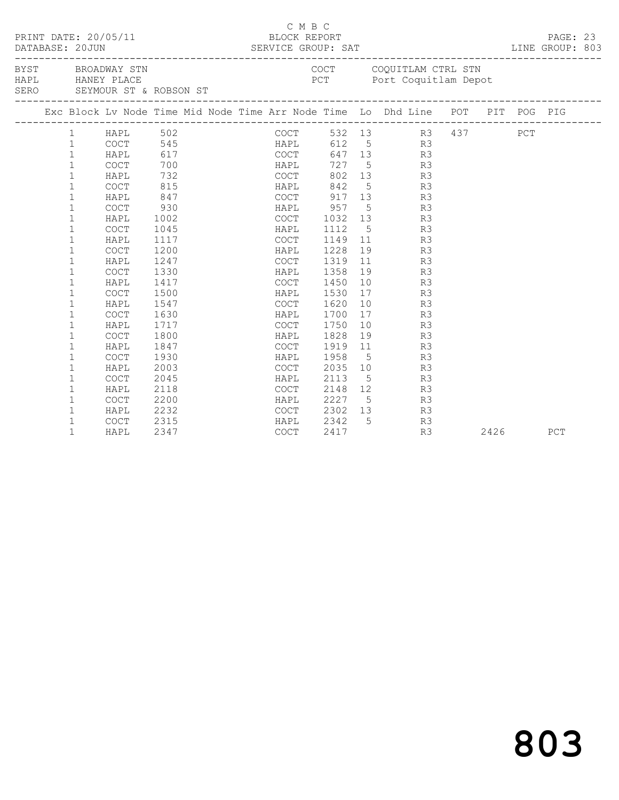| PRINT DATE: 20/05/11<br>BYST BROADWAY STN |              |                  |                             |  |  | C M B C<br>BLOCK REPORT |      |    |                                                                                |  |      | PAGE: 23<br>LINE GROUP: 803 |  |
|-------------------------------------------|--------------|------------------|-----------------------------|--|--|-------------------------|------|----|--------------------------------------------------------------------------------|--|------|-----------------------------|--|
|                                           |              | HAPL HANEY PLACE | SERO SEYMOUR ST & ROBSON ST |  |  |                         |      |    | COCT COQUITLAM CTRL STN<br>PCT Port Coquitlam Depot                            |  |      |                             |  |
|                                           |              |                  |                             |  |  |                         |      |    | Exc Block Lv Node Time Mid Node Time Arr Node Time Lo Dhd Line POT PIT POG PIG |  |      |                             |  |
|                                           |              |                  |                             |  |  |                         |      |    | COCT 532 13 R3 437 PCT<br>HAPL 612 5 R3<br>COCT 647 13 R3                      |  |      |                             |  |
|                                           |              |                  |                             |  |  |                         |      |    |                                                                                |  |      |                             |  |
|                                           |              |                  |                             |  |  |                         |      |    |                                                                                |  |      |                             |  |
|                                           |              |                  |                             |  |  | HAPL                    |      |    | 727 5 R3                                                                       |  |      |                             |  |
|                                           | $\mathbf 1$  | HAPL             | 732                         |  |  | COCT                    |      |    | 802 13 R3                                                                      |  |      |                             |  |
|                                           | 1            | COCT             | 815                         |  |  |                         |      |    | HAPL 842 5 R3                                                                  |  |      |                             |  |
|                                           | $\mathbf 1$  | HAPL             | 847                         |  |  |                         |      |    | COCT 917 13 R3                                                                 |  |      |                             |  |
|                                           | $\mathbf{1}$ | COCT             | 930                         |  |  | HAPL 957                |      |    | 5 R3                                                                           |  |      |                             |  |
|                                           | $\mathbf 1$  | HAPL             | 1002                        |  |  | COCT 1032 13            |      |    | R3                                                                             |  |      |                             |  |
|                                           | $\mathbf 1$  | COCT             | 1045                        |  |  | HAPL                    | 1112 |    | $5\overline{}$<br>R3                                                           |  |      |                             |  |
|                                           | $\mathbf 1$  | HAPL             | 1117                        |  |  | COCT                    |      |    | 1149 11<br>R3                                                                  |  |      |                             |  |
|                                           | $\mathbf 1$  | <b>COCT</b>      | 1200                        |  |  | HAPL                    | 1228 |    | 19 R3                                                                          |  |      |                             |  |
|                                           | $\mathbf 1$  | HAPL             | 1247                        |  |  | COCT                    | 1319 |    | 11<br>R3                                                                       |  |      |                             |  |
|                                           | $\mathbf{1}$ | COCT             | 1330                        |  |  | HAPL                    | 1358 | 19 | R3                                                                             |  |      |                             |  |
|                                           | $\mathbf 1$  | HAPL             | 1417                        |  |  | COCT                    | 1450 | 10 | R3                                                                             |  |      |                             |  |
|                                           | $\mathbf{1}$ | <b>COCT</b>      | 1500                        |  |  | HAPL                    | 1530 | 17 | R3                                                                             |  |      |                             |  |
|                                           | $\mathbf{1}$ | HAPL             | 1547                        |  |  | COCT                    | 1620 |    | 10<br>R3                                                                       |  |      |                             |  |
|                                           | $\mathbf 1$  | <b>COCT</b>      | 1630                        |  |  | HAPL                    | 1700 | 17 | R3                                                                             |  |      |                             |  |
|                                           | $\mathbf 1$  | HAPL             | 1717                        |  |  | COCT                    | 1750 |    | 10<br>R3                                                                       |  |      |                             |  |
|                                           | 1            | COCT             | 1800                        |  |  | HAPL                    | 1828 |    | 19<br>R3                                                                       |  |      |                             |  |
|                                           | $\mathbf 1$  | HAPL             | 1847                        |  |  | COCT                    | 1919 |    | 11 7<br>R3                                                                     |  |      |                             |  |
|                                           | $\mathbf{1}$ | COCT             | 1930                        |  |  | <b>HAPL</b>             | 1958 |    | $5\overline{}$<br>R3                                                           |  |      |                             |  |
|                                           | $\mathbf{1}$ | HAPL             | 2003                        |  |  | <b>COCT</b>             | 2035 |    | 10<br>R3                                                                       |  |      |                             |  |
|                                           | $\mathbf 1$  | <b>COCT</b>      | 2045                        |  |  | HAPL                    | 2113 |    | R3<br>$5\overline{}$                                                           |  |      |                             |  |
|                                           | $\mathbf 1$  | HAPL             | 2118                        |  |  | COCT                    |      |    | 2148 12<br>R3                                                                  |  |      |                             |  |
|                                           | $\mathbf 1$  | COCT             | 2200                        |  |  | HAPL                    |      |    | 2227 5<br>2302 13<br>2342 5<br>R3                                              |  |      |                             |  |
|                                           | $\mathbf 1$  | HAPL             | 2232                        |  |  | COCT                    |      |    | R3                                                                             |  |      |                             |  |
|                                           | $\mathbf{1}$ | COCT             | 2315                        |  |  | HAPL                    |      |    | R3                                                                             |  |      |                             |  |
|                                           | $\mathbf{1}$ | HAPL             | 2347                        |  |  | COCT                    | 2417 |    | R3                                                                             |  | 2426 | PCT                         |  |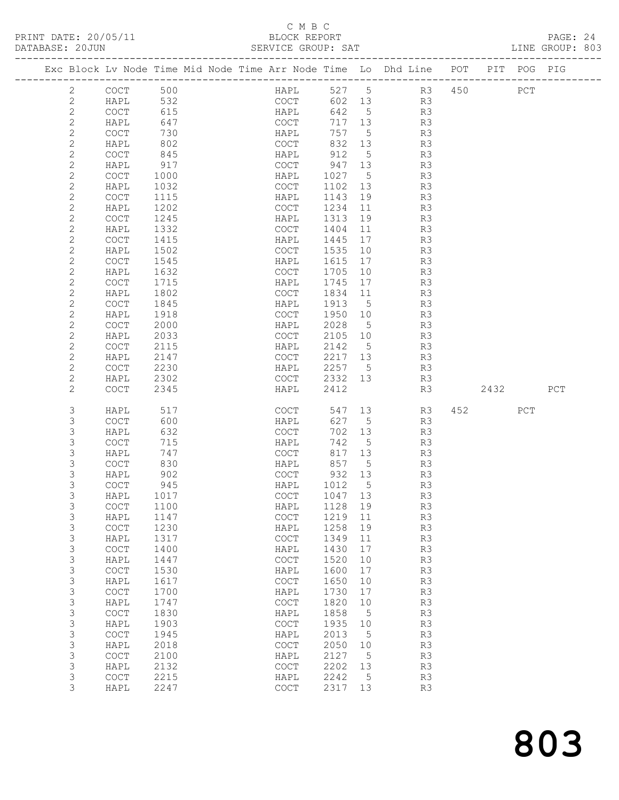## C M B C<br>BLOCK REPORT

| DATABASE: 20JUN |                              |                                            |              | SERVICE GROUP: SAT                                                             |              |                 |                |      |     | LINE GROUP: 803 |  |
|-----------------|------------------------------|--------------------------------------------|--------------|--------------------------------------------------------------------------------|--------------|-----------------|----------------|------|-----|-----------------|--|
|                 |                              |                                            |              | Exc Block Lv Node Time Mid Node Time Arr Node Time Lo Dhd Line POT PIT POG PIG |              |                 |                |      |     |                 |  |
|                 | 2                            | COCT 500                                   |              | <b>HAPL</b>                                                                    | 527 5        |                 | R3 450 PCT     |      |     |                 |  |
|                 | 2                            | HAPL                                       | 532          | COCT                                                                           |              |                 | 602 13 R3      |      |     |                 |  |
|                 | $\mathbf{2}$                 | COCT                                       | 615          | HAPL                                                                           | 642 5        |                 | R3             |      |     |                 |  |
|                 | $\sqrt{2}$                   | HAPL                                       | 647          | COCT                                                                           | 717 13       |                 | R3             |      |     |                 |  |
|                 | $\mathbf{2}$                 | COCT                                       | 730          | HAPL                                                                           | 757          | $5\overline{)}$ | R3             |      |     |                 |  |
|                 | $\mathbf{2}$                 | HAPL                                       | 802          | COCT                                                                           | 832 13       |                 | R3             |      |     |                 |  |
|                 | $\mathbf{2}$                 | COCT                                       | 845          | HAPL                                                                           | 912          | $5^{\circ}$     | R3             |      |     |                 |  |
|                 | $\mathbf{2}$                 | HAPL                                       | 917          | COCT                                                                           | 947 13       |                 | R3             |      |     |                 |  |
|                 | $\mathbf{2}$                 | COCT                                       | 1000         | HAPL                                                                           | 1027         | $5\overline{)}$ | R3             |      |     |                 |  |
|                 | $\mathbf{2}$                 | HAPL                                       | 1032         | COCT                                                                           | 1102 13      |                 | R3             |      |     |                 |  |
|                 | $\mathbf{2}$<br>$\mathbf{2}$ | COCT<br>HAPL                               | 1115<br>1202 | HAPL<br>COCT                                                                   | 1143<br>1234 | 19<br>11        | R3<br>R3       |      |     |                 |  |
|                 | $\mathbf{2}$                 | COCT                                       | 1245         | HAPL                                                                           | 1313         | 19              | R3             |      |     |                 |  |
|                 | $\mathbf{2}$                 | HAPL                                       | 1332         | COCT                                                                           | 1404         | 11              | R3             |      |     |                 |  |
|                 | $\mathbf{2}$                 | COCT                                       | 1415         | HAPL                                                                           | 1445         | 17              | R3             |      |     |                 |  |
|                 | $\mathbf{2}$                 | HAPL                                       | 1502         | COCT                                                                           | 1535         | 10              | R3             |      |     |                 |  |
|                 | $\mathbf{2}$                 | COCT                                       | 1545         | HAPL                                                                           | 1615         | 17              | R3             |      |     |                 |  |
|                 | $\mathbf{2}$                 | HAPL                                       | 1632         | COCT                                                                           | 1705         | 10              | R3             |      |     |                 |  |
|                 | $\mathbf{2}$                 | COCT                                       | 1715         | HAPL                                                                           | 1745         | 17              | R3             |      |     |                 |  |
|                 | $\mathbf{2}$                 | HAPL                                       | 1802         | COCT                                                                           | 1834         | 11              | R3             |      |     |                 |  |
|                 | $\mathbf{2}$                 | COCT                                       | 1845         | HAPL                                                                           | 1913         | $5\overline{)}$ | R3             |      |     |                 |  |
|                 | $\sqrt{2}$                   | HAPL                                       | 1918         | COCT                                                                           | 1950         | 10              | R3             |      |     |                 |  |
|                 | $\mathbf{2}$                 | COCT                                       | 2000         | HAPL                                                                           | 2028         | $5^{\circ}$     | R3             |      |     |                 |  |
|                 | $\mathbf{2}$                 | HAPL                                       | 2033         | COCT                                                                           | 2105         | 10              | R3             |      |     |                 |  |
|                 | $\mathbf{2}$                 | COCT                                       | 2115         | HAPL                                                                           | 2142 5       |                 | R3             |      |     |                 |  |
|                 | $\mathbf{2}$                 | HAPL                                       | 2147         | COCT                                                                           | 2217 13      |                 | R3             |      |     |                 |  |
|                 | $\mathbf{2}$                 | <b>COCT</b>                                | 2230         | HAPL                                                                           | 2257 5       |                 | R3             |      |     |                 |  |
|                 | 2                            | HAPL                                       | 2302         | COCT                                                                           | 2332 13      |                 | R3             |      |     |                 |  |
|                 | $\mathbf{2}$                 | <b>COCT</b>                                | 2345         | HAPL                                                                           | 2412         |                 | R3             | 2432 |     | PCT             |  |
|                 | 3                            | HAPL                                       | 517          | COCT                                                                           | 547          | 13              | R3             | 452  | PCT |                 |  |
|                 | 3                            | <b>COCT</b>                                | 600          | HAPL                                                                           | 627          | 5               | R3             |      |     |                 |  |
|                 | 3                            | HAPL                                       | 632          | COCT                                                                           | 702          | 13              | R3             |      |     |                 |  |
|                 | 3                            | COCT                                       | 715          | HAPL                                                                           | 742          | $5\overline{)}$ | R3             |      |     |                 |  |
|                 | 3                            | HAPL                                       | 747          | COCT                                                                           | 817 13       |                 | R3             |      |     |                 |  |
|                 | 3                            | COCT                                       | 830          | HAPL                                                                           | 857          | $5^{\circ}$     | R3             |      |     |                 |  |
|                 | 3                            | HAPL                                       | 902          | COCT                                                                           | 932 13       |                 | R <sub>3</sub> |      |     |                 |  |
|                 | 3<br>3                       | <b>COCT</b>                                | 945          | HAPL                                                                           | 1012         | $5^{\circ}$     | R3             |      |     |                 |  |
|                 |                              | HAPL 1017                                  |              | COCT 1047 13                                                                   |              |                 | R3             |      |     |                 |  |
|                 | 3<br>3                       | COCT                                       | 1100         | HAPL                                                                           | 1128<br>1219 | 19<br>11        | R3<br>R3       |      |     |                 |  |
|                 | 3                            | HAPL<br>COCT                               | 1147<br>1230 | COCT<br>HAPL                                                                   | 1258         | 19              | R3             |      |     |                 |  |
|                 | 3                            | HAPL                                       | 1317         | COCT                                                                           | 1349         | 11              | R3             |      |     |                 |  |
|                 | 3                            | COCT                                       | 1400         | HAPL                                                                           | 1430         | 17              | R3             |      |     |                 |  |
|                 | 3                            | HAPL                                       | 1447         | $_{\mathrm{COT}}$                                                              | 1520         | 10              | R3             |      |     |                 |  |
|                 | 3                            | $\mathtt{C}\mathtt{O}\mathtt{C}\mathtt{T}$ | 1530         | HAPL                                                                           | 1600         | 17              | R3             |      |     |                 |  |
|                 | 3                            | HAPL                                       | 1617         | $\mathtt{C}\mathtt{O}\mathtt{C}\mathtt{T}$                                     | 1650         | 10              | R3             |      |     |                 |  |
|                 | 3                            | COCT                                       | 1700         | HAPL                                                                           | 1730         | 17              | R3             |      |     |                 |  |
|                 | $\mathsf S$                  | HAPL                                       | 1747         | COCT                                                                           | 1820         | 10              | R3             |      |     |                 |  |
|                 | 3                            | COCT                                       | 1830         | HAPL                                                                           | 1858         | $-5$            | R3             |      |     |                 |  |
|                 | 3                            | HAPL                                       | 1903         | $_{\mathrm{COT}}$                                                              | 1935         | 10              | R3             |      |     |                 |  |
|                 | 3                            | COCT                                       | 1945         | HAPL                                                                           | 2013         | 5               | R3             |      |     |                 |  |
|                 | 3                            | HAPL                                       | 2018         | COCT                                                                           | 2050         | 10              | R3             |      |     |                 |  |
|                 | 3                            | COCT                                       | 2100         | HAPL                                                                           | 2127         | $-5$            | R3             |      |     |                 |  |
|                 | 3                            | HAPL                                       | 2132         | $\mathtt{C}\mathtt{O}\mathtt{C}\mathtt{T}$                                     | 2202         | 13              | R3             |      |     |                 |  |

 3 COCT 2215 HAPL 2242 5 R3 3 HAPL 2247 COCT 2317 13 R3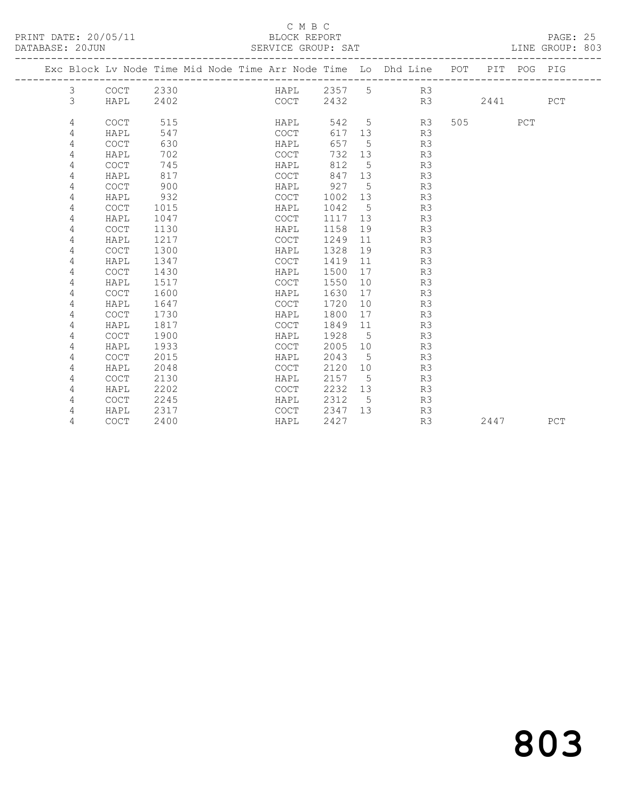### C M B C<br>BLOCK REPORT

SERVICE GROUP: SAT

|  |   |             |      |  |             |      |                 | Exc Block Lv Node Time Mid Node Time Arr Node Time Lo Dhd Line POT PIT POG PIG |     |      |     |     |
|--|---|-------------|------|--|-------------|------|-----------------|--------------------------------------------------------------------------------|-----|------|-----|-----|
|  | 3 | COCT        | 2330 |  | HAPL        | 2357 | 5 <sup>5</sup>  | R3                                                                             |     |      |     |     |
|  | 3 | HAPL        | 2402 |  | COCT        | 2432 |                 | R3                                                                             |     | 2441 |     | PCT |
|  |   |             |      |  |             |      |                 |                                                                                |     |      |     |     |
|  | 4 | COCT        | 515  |  | HAPL        | 542  | 5               | R3                                                                             | 505 |      | PCT |     |
|  | 4 | HAPL        | 547  |  | COCT        | 617  | 13              | R3                                                                             |     |      |     |     |
|  | 4 | COCT        | 630  |  | HAPL        | 657  | 5               | R3                                                                             |     |      |     |     |
|  | 4 | HAPL        | 702  |  | COCT        | 732  | 13              | R3                                                                             |     |      |     |     |
|  | 4 | COCT        | 745  |  | HAPL        | 812  | 5               | R3                                                                             |     |      |     |     |
|  | 4 | HAPL        | 817  |  | <b>COCT</b> | 847  | 13              | R3                                                                             |     |      |     |     |
|  | 4 | COCT        | 900  |  | HAPL        | 927  | 5               | R3                                                                             |     |      |     |     |
|  | 4 | HAPL        | 932  |  | <b>COCT</b> | 1002 | 13              | R3                                                                             |     |      |     |     |
|  | 4 | <b>COCT</b> | 1015 |  | HAPL        | 1042 | 5               | R3                                                                             |     |      |     |     |
|  | 4 | HAPL        | 1047 |  | COCT        | 1117 | 13              | R3                                                                             |     |      |     |     |
|  | 4 | COCT        | 1130 |  | HAPL        | 1158 | 19              | R3                                                                             |     |      |     |     |
|  | 4 | HAPL        | 1217 |  | COCT        | 1249 | 11              | R3                                                                             |     |      |     |     |
|  | 4 | <b>COCT</b> | 1300 |  | HAPL        | 1328 | 19              | R3                                                                             |     |      |     |     |
|  | 4 | HAPL        | 1347 |  | <b>COCT</b> | 1419 | 11              | R3                                                                             |     |      |     |     |
|  | 4 | <b>COCT</b> | 1430 |  | HAPL        | 1500 | 17              | R3                                                                             |     |      |     |     |
|  | 4 | HAPL        | 1517 |  | <b>COCT</b> | 1550 | 10 <sup>°</sup> | R3                                                                             |     |      |     |     |
|  | 4 | <b>COCT</b> | 1600 |  | HAPL        | 1630 | 17              | R3                                                                             |     |      |     |     |
|  | 4 | HAPL        | 1647 |  | COCT        | 1720 | 10              | R3                                                                             |     |      |     |     |
|  | 4 | <b>COCT</b> | 1730 |  | HAPL        | 1800 | 17              | R3                                                                             |     |      |     |     |
|  | 4 | HAPL        | 1817 |  | <b>COCT</b> | 1849 | 11              | R3                                                                             |     |      |     |     |
|  | 4 | COCT        | 1900 |  | HAPL        | 1928 | 5               | R3                                                                             |     |      |     |     |
|  | 4 | HAPL        | 1933 |  | COCT        | 2005 | 10              | R3                                                                             |     |      |     |     |
|  | 4 | <b>COCT</b> | 2015 |  | HAPL        | 2043 | 5               | R3                                                                             |     |      |     |     |
|  | 4 | HAPL        | 2048 |  | COCT        | 2120 | 10              | R3                                                                             |     |      |     |     |
|  | 4 | <b>COCT</b> | 2130 |  | HAPL        | 2157 | 5               | R3                                                                             |     |      |     |     |
|  | 4 | HAPL        | 2202 |  | COCT        | 2232 | 13              | R3                                                                             |     |      |     |     |
|  | 4 | <b>COCT</b> | 2245 |  | HAPL        | 2312 | 5               | R3                                                                             |     |      |     |     |
|  | 4 | HAPL        | 2317 |  | COCT        | 2347 | 13              | R3                                                                             |     |      |     |     |
|  | 4 | <b>COCT</b> | 2400 |  | HAPL        | 2427 |                 | R3                                                                             |     | 2447 |     | PCT |